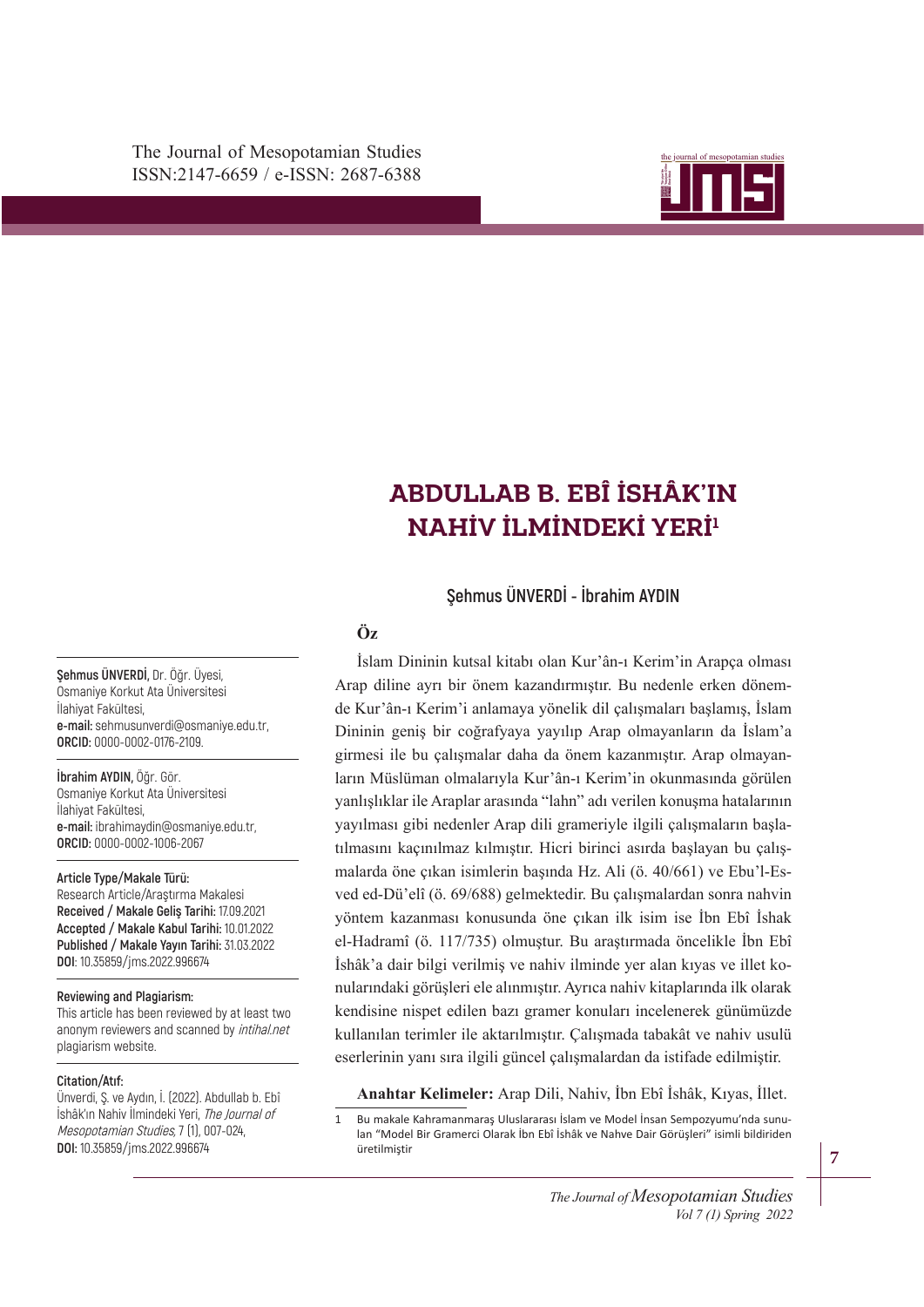

# ABDULLAB B. EBÎ İSHÂK'IN **NAHİV İLMİNDEKİ YERİ<sup>1</sup>**

**Şehmus ÜNVERDİ - İbrahim AYDIN**

## **Öz**

Dininin geniş bir coğrafyaya yayılıp Arap olmayanların da İslam'a girmesi ile bu çalışmalar daha da önem kazanmıştır. Arap olmayanların Müslüman olmalarıyla Kur'ân-ı Kerim'in okunmasında görülen İslam Dininin kutsal kitabı olan Kur'ân-ı Kerim'in Arapça olması Arap diline ayrı bir önem kazandırmıştır. Bu nedenle erken dönemde Kur'ân-ı Kerim'i anlamaya yönelik dil çalışmaları başlamış, İslam yanlışlıklar ile Araplar arasında "lahn" adı verilen konuşma hatalarının yayılması gibi nedenler Arap dili grameriyle ilgili çalışmaların başlatılmasını kaçınılmaz kılmıştır. Hicri birinci asırda başlayan bu çalışmalarda öne çıkan isimlerin başında Hz. Ali (ö. 40/661) ve Ebu'l-Esved ed-Dü'elî (ö. 69/688) gelmektedir. Bu çalışmalardan sonra nahvin yöntem kazanması konusunda öne çıkan ilk isim ise İbn Ebî İshak el-Hadramî (ö. 117/735) olmuştur. Bu araştırmada öncelikle İbn Ebî İshâk'a dair bilgi verilmiş ve nahiv ilminde yer alan kıyas ve illet konularındaki görüşleri ele alınmıştır. Ayrıca nahiv kitaplarında ilk olarak kendisine nispet edilen bazı gramer konuları incelenerek günümüzde kullanılan terimler ile aktarılmıştır. Çalışmada tabakât ve nahiv usulü eserlerinin yanı sıra ilgili güncel çalışmalardan da istifade edilmiştir.

**Anahtar Kelimeler:** Arap Dili, Nahiv, İbn Ebî İshâk, Kıyas, İllet.

1 Bu makale Kahramanmaraş Uluslararası İslam ve Model İnsan Sempozyumu'nda sunulan "Model Bir Gramerci Olarak İbn Ebî İshâk ve Nahve Dair Görüşleri" isimli bildiriden üretilmiştir

**Şehmus ÜNVERDİ,** Dr. Öğr. Üyesi, Osmaniye Korkut Ata Üniversitesi İlahiyat Fakültesi, **e-mail:** sehmusunverdi@osmaniye.edu.tr, **ORCID:** 0000-0002-0176-2109.

**İbrahim AYDIN,** Öğr. Gör. Osmaniye Korkut Ata Üniversitesi İlahiyat Fakültesi, **e-mail:** ibrahimaydin@osmaniye.edu.tr, **ORCID:** 0000-0002-1006-2067

**Article Type/Makale Türü:**

Research Article/Araştırma Makalesi **Received / Makale Geliş Tarihi:** 17.09.2021 **Accepted / Makale Kabul Tarihi:** 10.01.2022 **Published / Makale Yayın Tarihi:** 31.03.2022 **DOI**: 10.35859/jms.2022.996674

#### **Reviewing and Plagiarism:**

This article has been reviewed by at least two anonym reviewers and scanned by *intihal.net* plagiarism website.

#### **Citation/Atıf:**

Ünverdi, Ş. ve Aydın, İ. (2022). Abdullab b. Ebî İshâk'ın Nahiv İlmindeki Yeri, The Journal of Mesopotamian Studies, 7 (1), 007-024, **DOI:** 10.35859/jms.2022.996674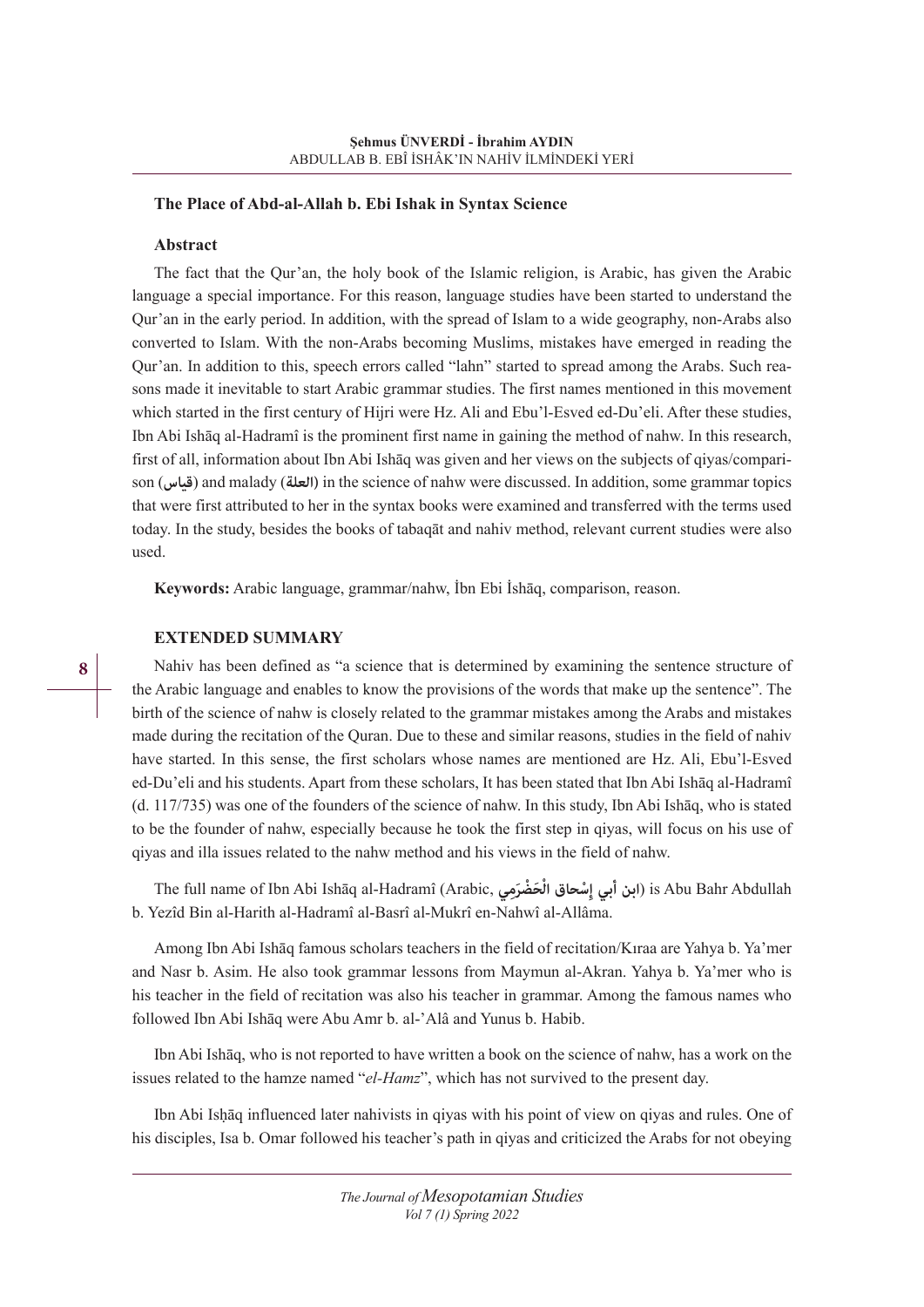#### **The Place of Abd-al-Allah b. Ebi Ishak in Syntax Science**

### **Abstract**

The fact that the Qur'an, the holy book of the Islamic religion, is Arabic, has given the Arabic language a special importance. For this reason, language studies have been started to understand the Qur'an in the early period. In addition, with the spread of Islam to a wide geography, non-Arabs also converted to Islam. With the non-Arabs becoming Muslims, mistakes have emerged in reading the Qur'an. In addition to this, speech errors called "lahn" started to spread among the Arabs. Such reasons made it inevitable to start Arabic grammar studies. The first names mentioned in this movement which started in the first century of Hijri were Hz. Ali and Ebu'l-Esved ed-Du'eli. After these studies, Ibn Abi Ishāq al-Hadramî is the prominent first name in gaining the method of nahw. In this research, first of all, information about Ibn Abi Ishāq was given and her views on the subjects of qiyas/comparison (**قياس** (and malady (**العلة (**in the science of nahw were discussed. In addition, some grammar topics that were first attributed to her in the syntax books were examined and transferred with the terms used today. In the study, besides the books of tabaqāt and nahiv method, relevant current studies were also used.

**Keywords:** Arabic language, grammar/nahw, İbn Ebi İshāq, comparison, reason.

## **EXTENDED SUMMARY**

Nahiv has been defined as "a science that is determined by examining the sentence structure of the Arabic language and enables to know the provisions of the words that make up the sentence". The birth of the science of nahw is closely related to the grammar mistakes among the Arabs and mistakes made during the recitation of the Quran. Due to these and similar reasons, studies in the field of nahiv have started. In this sense, the first scholars whose names are mentioned are Hz. Ali, Ebu'l-Esved ed-Du'eli and his students. Apart from these scholars, It has been stated that Ibn Abi Ishāq al-Hadramî (d. 117/735) was one of the founders of the science of nahw. In this study, Ibn Abi Ishāq, who is stated to be the founder of nahw, especially because he took the first step in qiyas, will focus on his use of qiyas and illa issues related to the nahw method and his views in the field of nahw.

The full name of Ibn Abi Ishāq al-Hadramî (Arabic, **ميِر ْضَ حَ ْ ِ ْسحاق الإ أبي ابن** (is Abu Bahr Abdullah b. Yezîd Bin al-Harith al-Hadramî al-Basrî al-Mukrî en-Nahwî al-Allâma.

Among Ibn Abi Ishāq famous scholars teachers in the field of recitation/Kıraa are Yahya b. Ya'mer and Nasr b. Asim. He also took grammar lessons from Maymun al-Akran. Yahya b. Ya'mer who is his teacher in the field of recitation was also his teacher in grammar. Among the famous names who followed Ibn Abi Ishāq were Abu Amr b. al-'Alâ and Yunus b. Habib.

Ibn Abi Ishāq, who is not reported to have written a book on the science of nahw, has a work on the issues related to the hamze named "*el-Hamz*", which has not survived to the present day.

Ibn Abi Isḥāq influenced later nahivists in qiyas with his point of view on qiyas and rules. One of his disciples, Isa b. Omar followed his teacher's path in qiyas and criticized the Arabs for not obeying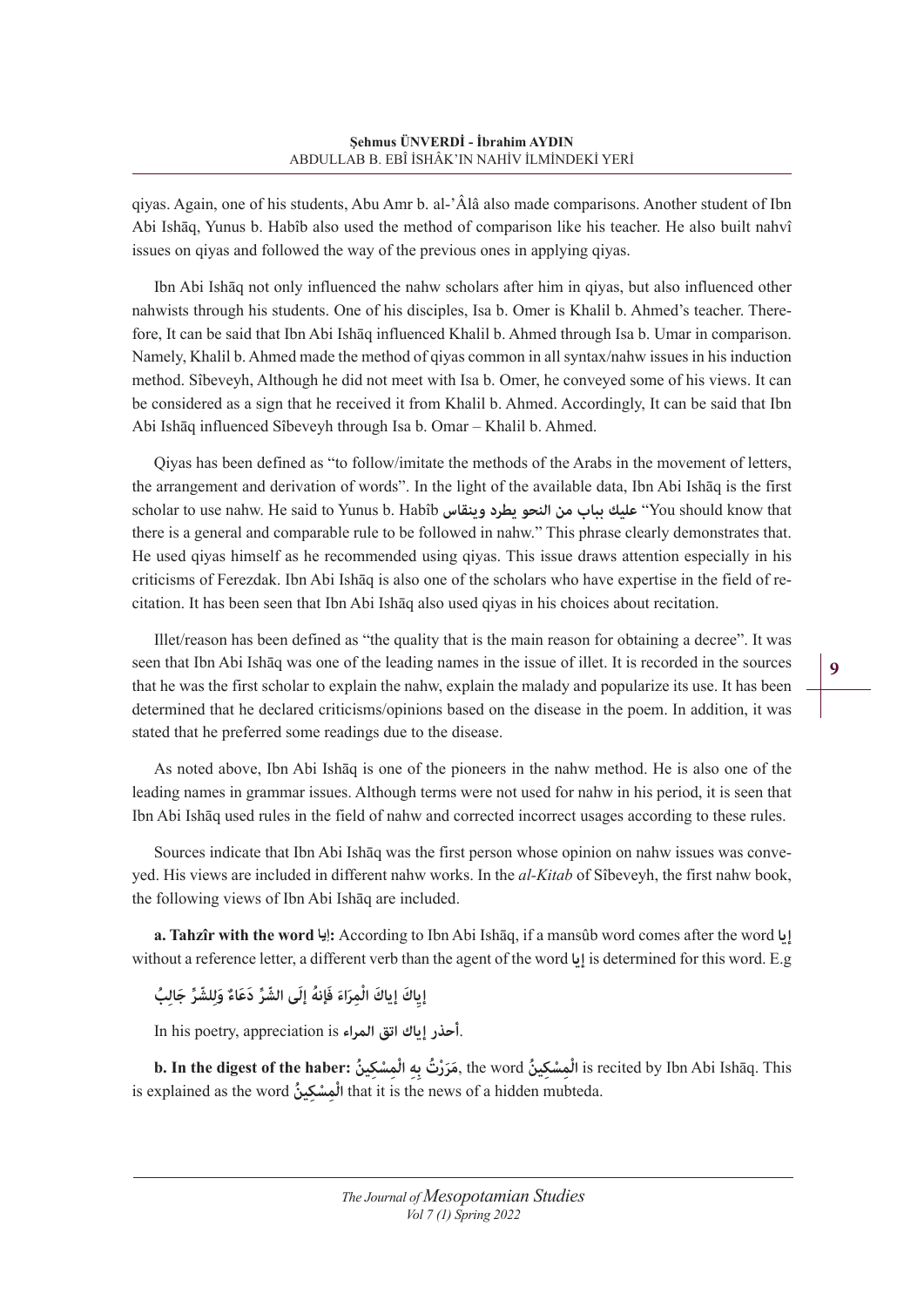qiyas. Again, one of his students, Abu Amr b. al-'Âlâ also made comparisons. Another student of Ibn Abi Ishāq, Yunus b. Habîb also used the method of comparison like his teacher. He also built nahvî issues on qiyas and followed the way of the previous ones in applying qiyas.

Ibn Abi Ishāq not only influenced the nahw scholars after him in qiyas, but also influenced other nahwists through his students. One of his disciples, Isa b. Omer is Khalil b. Ahmed's teacher. Therefore, It can be said that Ibn Abi Ishāq influenced Khalil b. Ahmed through Isa b. Umar in comparison. Namely, Khalil b. Ahmed made the method of qiyas common in all syntax/nahw issues in his induction method. Sîbeveyh, Although he did not meet with Isa b. Omer, he conveyed some of his views. It can be considered as a sign that he received it from Khalil b. Ahmed. Accordingly, It can be said that Ibn Abi Ishāq influenced Sîbeveyh through Isa b. Omar – Khalil b. Ahmed.

Qiyas has been defined as "to follow/imitate the methods of the Arabs in the movement of letters, the arrangement and derivation of words". In the light of the available data, Ibn Abi Ishāq is the first scholar to use nahw. He said to Yunus b. Habîb **وينقاس يطرد النحو من بباب عليك**" You should know that there is a general and comparable rule to be followed in nahw." This phrase clearly demonstrates that. He used qiyas himself as he recommended using qiyas. This issue draws attention especially in his criticisms of Ferezdak. Ibn Abi Ishāq is also one of the scholars who have expertise in the field of recitation. It has been seen that Ibn Abi Ishāq also used qiyas in his choices about recitation.

Illet/reason has been defined as "the quality that is the main reason for obtaining a decree". It was seen that Ibn Abi Ishāq was one of the leading names in the issue of illet. It is recorded in the sources that he was the first scholar to explain the nahw, explain the malady and popularize its use. It has been determined that he declared criticisms/opinions based on the disease in the poem. In addition, it was stated that he preferred some readings due to the disease.

As noted above, Ibn Abi Ishāq is one of the pioneers in the nahw method. He is also one of the leading names in grammar issues. Although terms were not used for nahw in his period, it is seen that Ibn Abi Ishāq used rules in the field of nahw and corrected incorrect usages according to these rules.

Sources indicate that Ibn Abi Ishāq was the first person whose opinion on nahw issues was conveyed. His views are included in different nahw works. In the *al-Kitab* of Sîbeveyh, the first nahw book, the following views of Ibn Abi Ishāq are included.

**a. Tahzîr with the word إيا:** According to Ibn Abi Ishāq, if a mansûb word comes after the word **إيا** without a reference letter, a different verb than the agent of the word **إيا** is determined for this word. E.g

إِياكَ إِياكَ الْمِرَاءَ فَإِنهُ إِلَى الشَّرِّ دَعَاءٌ وَلِلشَّرِّ جَالِبُ

In his poetry, appreciation is **المراء اتق إياك أحذر**.

is recited by Ibn Abi Ishāq. This الْمِسْكِينُ , the word ,مَرَرْتُ بِهِ الْمِسْكِينُ b. In the digest of the haber: مَرَرْتُ بِهِ الْمِسْكِينُ is explained as the word **ين ُ كِسْ مِ ْ ال** that it is the news of a hidden mubteda.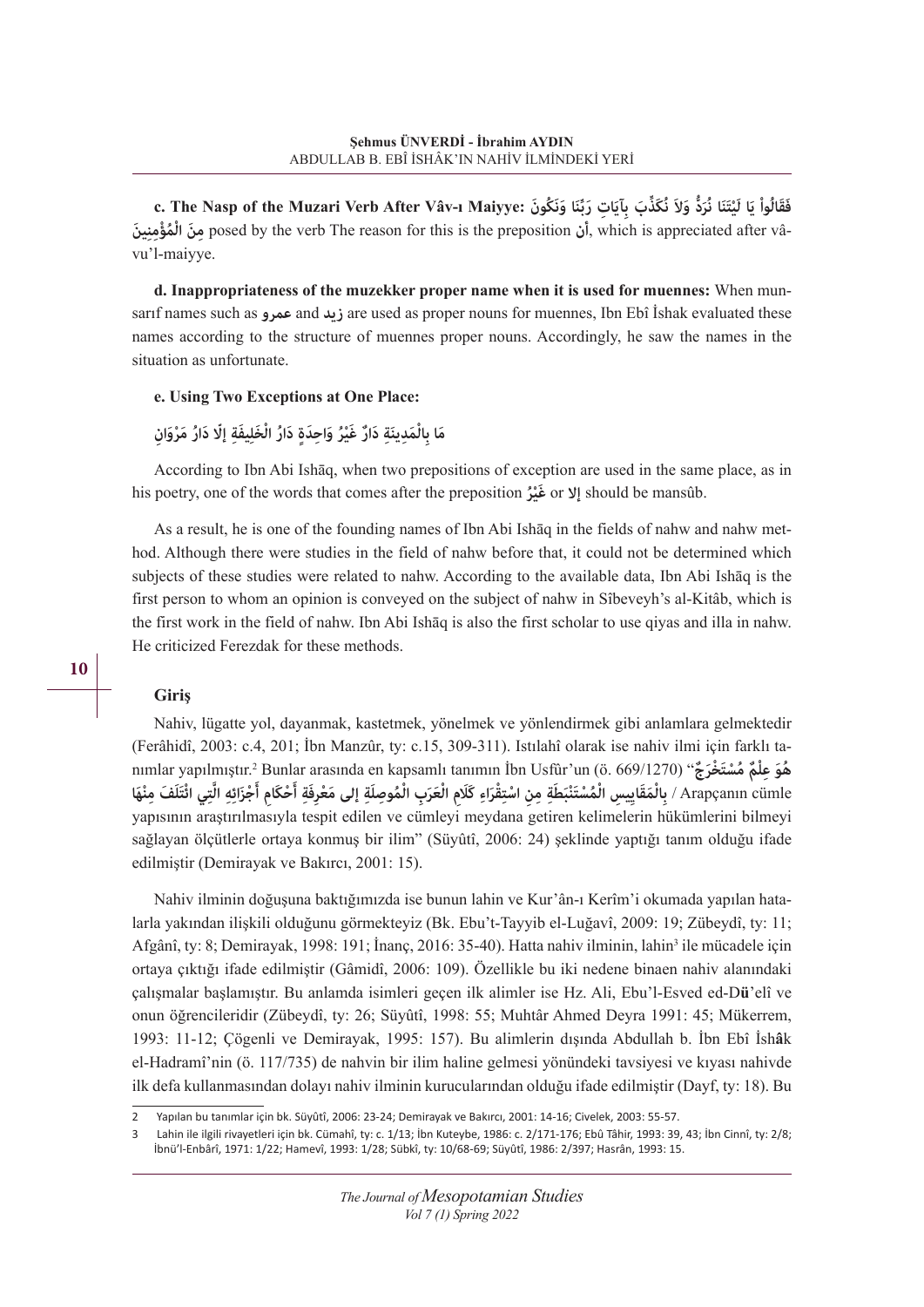e. The Nasp of the Muzari Verb After Vâv-ı Maiyye: دَبِّنَا وَنَكُونَ (C. The Nasp of the Muzari Verb After Vâv-ı Maiyye: فَقَالُواْ يَا لَيْتَنَا نُرَدُّ وَلاَ نُكَذَّبَ بِآيَاتٍ رَبِّنَا وَنَكُونَ **ْ ُمْؤِمِن َ ين ال نَ مِ** posed by the verb The reason for this is the preposition **أن**, which is appreciated after vâvu'l-maiyye.

**d. Inappropriateness of the muzekker proper name when it is used for muennes:** When munsarıf names such as **عمرو** and **زيد** are used as proper nouns for muennes, Ibn Ebî İshak evaluated these names according to the structure of muennes proper nouns. Accordingly, he saw the names in the situation as unfortunate.

#### **e. Using Two Exceptions at One Place:**

## مَا بِالْمَدِينَةِ دَارٌ غَيْرُ وَاحِدَةٍ دَارُ الْخَلِيفَةِ إلّا دَارُ مَرْوَانِ

According to Ibn Abi Ishāq, when two prepositions of exception are used in the same place, as in his poetry, one of the words that comes after the preposition **رُْ غيَ** or **إال** should be mansûb.

As a result, he is one of the founding names of Ibn Abi Ishāq in the fields of nahw and nahw method. Although there were studies in the field of nahw before that, it could not be determined which subjects of these studies were related to nahw. According to the available data, Ibn Abi Ishāq is the first person to whom an opinion is conveyed on the subject of nahw in Sîbeveyh's al-Kitâb, which is the first work in the field of nahw. Ibn Abi Ishāq is also the first scholar to use qiyas and illa in nahw. He criticized Ferezdak for these methods.

#### **Giriş**

Nahiv, lügatte yol, dayanmak, kastetmek, yönelmek ve yönlendirmek gibi anlamlara gelmektedir (Ferâhidî, 2003: c.4, 201; İbn Manzûr, ty: c.15, 309-311). Istılahî olarak ise nahiv ilmi için farklı tanımlar yapılmıştır.2 Bunlar arasında en kapsamlı tanımın İbn Usfûr'un (ö. 669/1270) "**جٌرَخْ تَسْ مُ مٌْ** nımlar yapılmıştır.<sup>2</sup> Bunlar arasında en kapsamlı tanımın İbn Usfûr'un (ö. 669/1270) "هُوَ عِلْمٌ مُسْتَخْرَجٌ<br>Arapçanın cümle / بِالْمَقَايِيسِ الْمُسْتَنْبَطَةِ مِنِ اسْتِقْرَاءِ كَلَامِ الْعَرَبِ الْمُوصِلَةِ إلى مَعْ yapısının araştırılmasıyla tespit edilen ve cümleyi meydana getiren kelimelerin hükümlerini bilmeyi sağlayan ölçütlerle ortaya konmuş bir ilim" (Süyûtî, 2006: 24) şeklinde yaptığı tanım olduğu ifade edilmiştir (Demirayak ve Bakırcı, 2001: 15).

Nahiv ilminin doğuşuna baktığımızda ise bunun lahin ve Kur'ân-ı Kerîm'i okumada yapılan hatalarla yakından ilişkili olduğunu görmekteyiz (Bk. Ebu't-Tayyib el-Luğavî, 2009: 19; Zübeydî, ty: 11; Afgânî, ty: 8; Demirayak, 1998: 191; İnanç, 2016: 35-40). Hatta nahiv ilminin, lahin<sup>3</sup> ile mücadele için ortaya çıktığı ifade edilmiştir (Gâmidî, 2006: 109). Özellikle bu iki nedene binaen nahiv alanındaki çalışmalar başlamıştır. Bu anlamda isimleri geçen ilk alimler ise Hz. Ali, Ebu'l-Esved ed-D**ü**'elî ve onun öğrencileridir (Zübeydî, ty: 26; Süyûtî, 1998: 55; Muhtâr Ahmed Deyra 1991: 45; Mükerrem, 1993: 11-12; Çögenli ve Demirayak, 1995: 157). Bu alimlerin dışında Abdullah b. İbn Ebî İsh**â**k el-Hadramî'nin (ö. 117/735) de nahvin bir ilim haline gelmesi yönündeki tavsiyesi ve kıyası nahivde ilk defa kullanmasından dolayı nahiv ilminin kurucularından olduğu ifade edilmiştir (Dayf, ty: 18). Bu

<sup>2</sup> Yapılan bu tanımlar için bk. Süyûtî, 2006: 23-24; Demirayak ve Bakırcı, 2001: 14-16; Civelek, 2003: 55-57.

<sup>3</sup> Lahin ile ilgili rivayetleri için bk. Cümahî, ty: c. 1/13; İbn Kuteybe, 1986: c. 2/171-176; Ebû Tâhir, 1993: 39, 43; İbn Cinnî, ty: 2/8; İbnü'l-Enbârî, 1971: 1/22; Hamevî, 1993: 1/28; Sübkî, ty: 10/68-69; Süyûtî, 1986: 2/397; Hasrân, 1993: 15.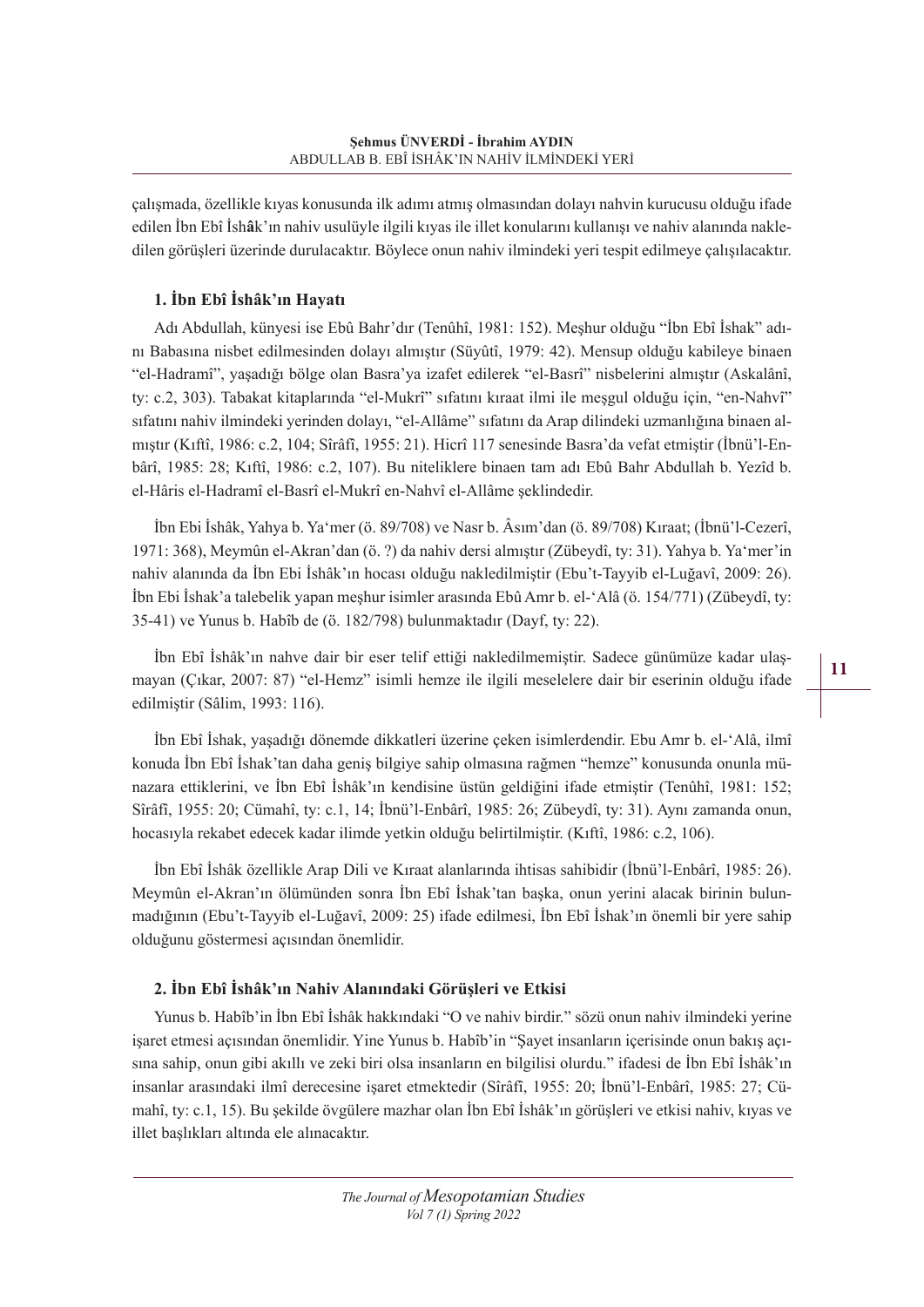çalışmada, özellikle kıyas konusunda ilk adımı atmış olmasından dolayı nahvin kurucusu olduğu ifade edilen İbn Ebî İsh**â**k'ın nahiv usulüyle ilgili kıyas ile illet konularını kullanışı ve nahiv alanında nakledilen görüşleri üzerinde durulacaktır. Böylece onun nahiv ilmindeki yeri tespit edilmeye çalışılacaktır.

## **1. İbn Ebî İshâk'ın Hayatı**

Adı Abdullah, künyesi ise Ebû Bahr'dır (Tenûhî, 1981: 152). Meşhur olduğu "İbn Ebî İshak" adını Babasına nisbet edilmesinden dolayı almıştır (Süyûtî, 1979: 42). Mensup olduğu kabileye binaen "el-Hadramî", yaşadığı bölge olan Basra'ya izafet edilerek "el-Basrî" nisbelerini almıştır (Askalânî, ty: c.2, 303). Tabakat kitaplarında "el-Mukrî" sıfatını kıraat ilmi ile meşgul olduğu için, "en-Nahvî" sıfatını nahiv ilmindeki yerinden dolayı, "el-Allâme" sıfatını da Arap dilindeki uzmanlığına binaen almıştır (Kıftî, 1986: c.2, 104; Sîrâfî, 1955: 21). Hicrî 117 senesinde Basra'da vefat etmiştir (İbnü'l-Enbârî, 1985: 28; Kıftî, 1986: c.2, 107). Bu niteliklere binaen tam adı Ebû Bahr Abdullah b. Yezîd b. el-Hâris el-Hadramî el-Basrî el-Mukrî en-Nahvî el-Allâme şeklindedir.

İbn Ebi İshâk, Yahya b. Ya'mer (ö. 89/708) ve Nasr b. Âsım'dan (ö. 89/708) Kıraat; (İbnü'l-Cezerî, 1971: 368), Meymûn el-Akran'dan (ö. ?) da nahiv dersi almıştır (Zübeydî, ty: 31). Yahya b. Ya'mer'in nahiv alanında da İbn Ebi İshâk'ın hocası olduğu nakledilmiştir (Ebu't-Tayyib el-Luğavî, 2009: 26). İbn Ebi İshak'a talebelik yapan meşhur isimler arasında Ebû Amr b. el-'Alâ (ö. 154/771) (Zübeydî, ty: 35-41) ve Yunus b. Habîb de (ö. 182/798) bulunmaktadır (Dayf, ty: 22).

İbn Ebî İshâk'ın nahve dair bir eser telif ettiği nakledilmemiştir. Sadece günümüze kadar ulaşmayan (Çıkar, 2007: 87) "el-Hemz" isimli hemze ile ilgili meselelere dair bir eserinin olduğu ifade edilmiştir (Sâlim, 1993: 116).

İbn Ebî İshak, yaşadığı dönemde dikkatleri üzerine çeken isimlerdendir. Ebu Amr b. el-'Alâ, ilmî konuda İbn Ebî İshak'tan daha geniş bilgiye sahip olmasına rağmen "hemze" konusunda onunla münazara ettiklerini, ve İbn Ebî İshâk'ın kendisine üstün geldiğini ifade etmiştir (Tenûhî, 1981: 152; Sîrâfî, 1955: 20; Cümahî, ty: c.1, 14; İbnü'l-Enbârî, 1985: 26; Zübeydî, ty: 31). Aynı zamanda onun, hocasıyla rekabet edecek kadar ilimde yetkin olduğu belirtilmiştir. (Kıftî, 1986: c.2, 106).

İbn Ebî İshâk özellikle Arap Dili ve Kıraat alanlarında ihtisas sahibidir (İbnü'l-Enbârî, 1985: 26). Meymûn el-Akran'ın ölümünden sonra İbn Ebî İshak'tan başka, onun yerini alacak birinin bulunmadığının (Ebu't-Tayyib el-Luğavî, 2009: 25) ifade edilmesi, İbn Ebî İshak'ın önemli bir yere sahip olduğunu göstermesi açısından önemlidir.

## **2. İbn Ebî İshâk'ın Nahiv Alanındaki Görüşleri ve Etkisi**

Yunus b. Habîb'in İbn Ebî İshâk hakkındaki "O ve nahiv birdir." sözü onun nahiv ilmindeki yerine işaret etmesi açısından önemlidir. Yine Yunus b. Habîb'in "Şayet insanların içerisinde onun bakış açısına sahip, onun gibi akıllı ve zeki biri olsa insanların en bilgilisi olurdu." ifadesi de İbn Ebî İshâk'ın insanlar arasındaki ilmî derecesine işaret etmektedir (Sîrâfî, 1955: 20; İbnü'l-Enbârî, 1985: 27; Cümahî, ty: c.1, 15). Bu şekilde övgülere mazhar olan İbn Ebî İshâk'ın görüşleri ve etkisi nahiv, kıyas ve illet başlıkları altında ele alınacaktır.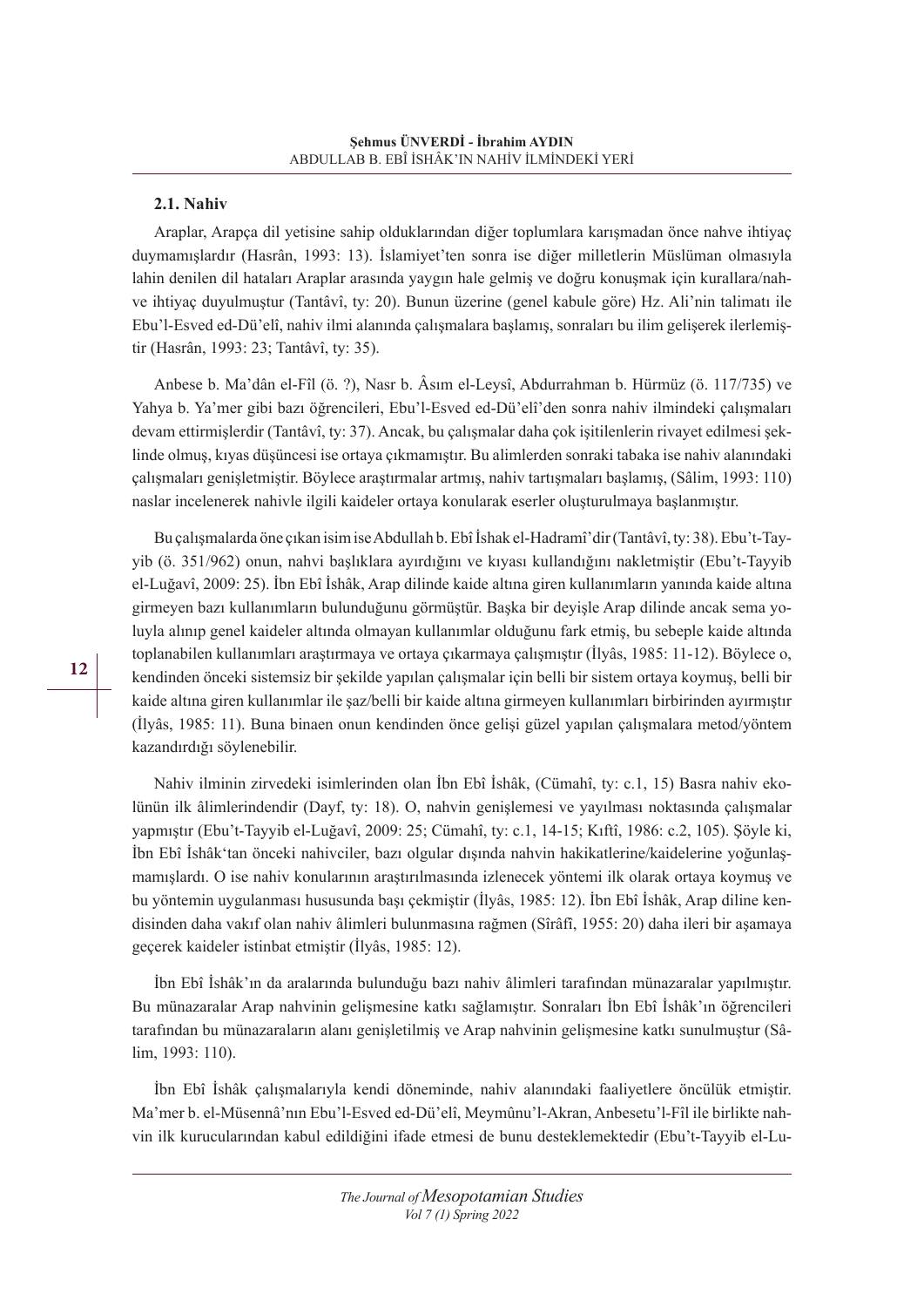#### **2.1. Nahiv**

Araplar, Arapça dil yetisine sahip olduklarından diğer toplumlara karışmadan önce nahve ihtiyaç duymamışlardır (Hasrân, 1993: 13). İslamiyet'ten sonra ise diğer milletlerin Müslüman olmasıyla lahin denilen dil hataları Araplar arasında yaygın hale gelmiş ve doğru konuşmak için kurallara/nahve ihtiyaç duyulmuştur (Tantâvî, ty: 20). Bunun üzerine (genel kabule göre) Hz. Ali'nin talimatı ile Ebu'l-Esved ed-Dü'elî, nahiv ilmi alanında çalışmalara başlamış, sonraları bu ilim gelişerek ilerlemiştir (Hasrân, 1993: 23; Tantâvî, ty: 35).

Anbese b. Ma'dân el-Fîl (ö. ?), Nasr b. Âsım el-Leysî, Abdurrahman b. Hürmüz (ö. 117/735) ve Yahya b. Ya'mer gibi bazı öğrencileri, Ebu'l-Esved ed-Dü'elî'den sonra nahiv ilmindeki çalışmaları devam ettirmişlerdir (Tantâvî, ty: 37). Ancak, bu çalışmalar daha çok işitilenlerin rivayet edilmesi şeklinde olmuş, kıyas düşüncesi ise ortaya çıkmamıştır. Bu alimlerden sonraki tabaka ise nahiv alanındaki çalışmaları genişletmiştir. Böylece araştırmalar artmış, nahiv tartışmaları başlamış, (Sâlim, 1993: 110) naslar incelenerek nahivle ilgili kaideler ortaya konularak eserler oluşturulmaya başlanmıştır.

Bu çalışmalarda öne çıkan isim ise Abdullah b. Ebî İshak el-Hadramî'dir (Tantâvî, ty: 38). Ebu't-Tayyib (ö. 351/962) onun, nahvi başlıklara ayırdığını ve kıyası kullandığını nakletmiştir (Ebu't-Tayyib el-Luğavî, 2009: 25). İbn Ebî İshâk, Arap dilinde kaide altına giren kullanımların yanında kaide altına girmeyen bazı kullanımların bulunduğunu görmüştür. Başka bir deyişle Arap dilinde ancak sema yoluyla alınıp genel kaideler altında olmayan kullanımlar olduğunu fark etmiş, bu sebeple kaide altında toplanabilen kullanımları araştırmaya ve ortaya çıkarmaya çalışmıştır (İlyâs, 1985: 11-12). Böylece o, kendinden önceki sistemsiz bir şekilde yapılan çalışmalar için belli bir sistem ortaya koymuş, belli bir kaide altına giren kullanımlar ile şaz/belli bir kaide altına girmeyen kullanımları birbirinden ayırmıştır (İlyâs, 1985: 11). Buna binaen onun kendinden önce gelişi güzel yapılan çalışmalara metod/yöntem kazandırdığı söylenebilir.

Nahiv ilminin zirvedeki isimlerinden olan İbn Ebî İshâk, (Cümahî, ty: c.1, 15) Basra nahiv ekolünün ilk âlimlerindendir (Dayf, ty: 18). O, nahvin genişlemesi ve yayılması noktasında çalışmalar yapmıştır (Ebu't-Tayyib el-Luğavî, 2009: 25; Cümahî, ty: c.1, 14-15; Kıftî, 1986: c.2, 105). Şöyle ki, İbn Ebî İshâk'tan önceki nahivciler, bazı olgular dışında nahvin hakikatlerine/kaidelerine yoğunlaşmamışlardı. O ise nahiv konularının araştırılmasında izlenecek yöntemi ilk olarak ortaya koymuş ve bu yöntemin uygulanması hususunda başı çekmiştir (İlyâs, 1985: 12). İbn Ebî İshâk, Arap diline kendisinden daha vakıf olan nahiv âlimleri bulunmasına rağmen (Sîrâfî, 1955: 20) daha ileri bir aşamaya geçerek kaideler istinbat etmiştir (İlyâs, 1985: 12).

İbn Ebî İshâk'ın da aralarında bulunduğu bazı nahiv âlimleri tarafından münazaralar yapılmıştır. Bu münazaralar Arap nahvinin gelişmesine katkı sağlamıştır. Sonraları İbn Ebî İshâk'ın öğrencileri tarafından bu münazaraların alanı genişletilmiş ve Arap nahvinin gelişmesine katkı sunulmuştur (Sâlim, 1993: 110).

İbn Ebî İshâk çalışmalarıyla kendi döneminde, nahiv alanındaki faaliyetlere öncülük etmiştir. Ma'mer b. el-Müsennâ'nın Ebu'l-Esved ed-Dü'elî, Meymûnu'l-Akran, Anbesetu'l-Fîl ile birlikte nahvin ilk kurucularından kabul edildiğini ifade etmesi de bunu desteklemektedir (Ebu't-Tayyib el-Lu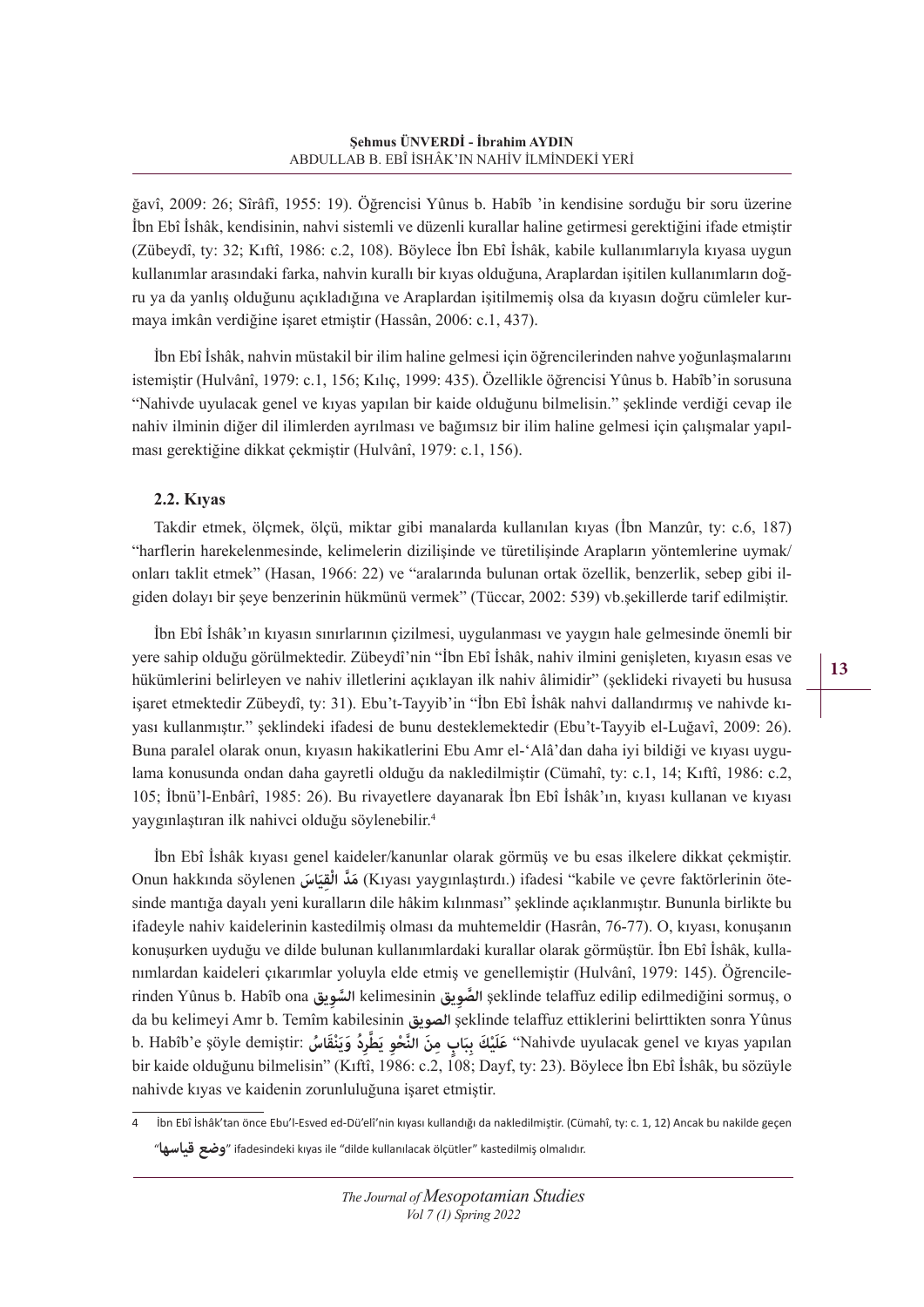ğavî, 2009: 26; Sîrâfî, 1955: 19). Öğrencisi Yûnus b. Habîb 'in kendisine sorduğu bir soru üzerine İbn Ebî İshâk, kendisinin, nahvi sistemli ve düzenli kurallar haline getirmesi gerektiğini ifade etmiştir (Zübeydî, ty: 32; Kıftî, 1986: c.2, 108). Böylece İbn Ebî İshâk, kabile kullanımlarıyla kıyasa uygun kullanımlar arasındaki farka, nahvin kurallı bir kıyas olduğuna, Araplardan işitilen kullanımların doğru ya da yanlış olduğunu açıkladığına ve Araplardan işitilmemiş olsa da kıyasın doğru cümleler kurmaya imkân verdiğine işaret etmiştir (Hassân, 2006: c.1, 437).

İbn Ebî İshâk, nahvin müstakil bir ilim haline gelmesi için öğrencilerinden nahve yoğunlaşmalarını istemiştir (Hulvânî, 1979: c.1, 156; Kılıç, 1999: 435). Özellikle öğrencisi Yûnus b. Habîb'in sorusuna "Nahivde uyulacak genel ve kıyas yapılan bir kaide olduğunu bilmelisin." şeklinde verdiği cevap ile nahiv ilminin diğer dil ilimlerden ayrılması ve bağımsız bir ilim haline gelmesi için çalışmalar yapılması gerektiğine dikkat çekmiştir (Hulvânî, 1979: c.1, 156).

## **2.2. Kıyas**

Takdir etmek, ölçmek, ölçü, miktar gibi manalarda kullanılan kıyas (İbn Manzûr, ty: c.6, 187) "harflerin harekelenmesinde, kelimelerin dizilişinde ve türetilişinde Arapların yöntemlerine uymak/ onları taklit etmek" (Hasan, 1966: 22) ve "aralarında bulunan ortak özellik, benzerlik, sebep gibi ilgiden dolayı bir şeye benzerinin hükmünü vermek" (Tüccar, 2002: 539) vb.şekillerde tarif edilmiştir.

İbn Ebî İshâk'ın kıyasın sınırlarının çizilmesi, uygulanması ve yaygın hale gelmesinde önemli bir yere sahip olduğu görülmektedir. Zübeydî'nin "İbn Ebî İshâk, nahiv ilmini genişleten, kıyasın esas ve hükümlerini belirleyen ve nahiv illetlerini açıklayan ilk nahiv âlimidir" (şeklideki rivayeti bu hususa işaret etmektedir Zübeydî, ty: 31). Ebu't-Tayyib'in "İbn Ebî İshâk nahvi dallandırmış ve nahivde kıyası kullanmıştır." şeklindeki ifadesi de bunu desteklemektedir (Ebu't-Tayyib el-Luğavî, 2009: 26). Buna paralel olarak onun, kıyasın hakikatlerini Ebu Amr el-'Alâ'dan daha iyi bildiği ve kıyası uygulama konusunda ondan daha gayretli olduğu da nakledilmiştir (Cümahî, ty: c.1, 14; Kıftî, 1986: c.2, 105; İbnü'l-Enbârî, 1985: 26). Bu rivayetlere dayanarak İbn Ebî İshâk'ın, kıyası kullanan ve kıyası yaygınlaştıran ilk nahivci olduğu söylenebilir.4

İbn Ebî İshâk kıyası genel kaideler/kanunlar olarak görmüş ve bu esas ilkelere dikkat çekmiştir. Onun hakkında söylenen مَدَّ الْقِيَاسَ (Kıyası yaygınlaştırdı.) ifadesi "kabile ve çevre faktörlerinin ötesinde mantığa dayalı yeni kuralların dile hâkim kılınması" şeklinde açıklanmıştır. Bununla birlikte bu ifadeyle nahiv kaidelerinin kastedilmiş olması da muhtemeldir (Hasrân, 76-77). O, kıyası, konuşanın konuşurken uyduğu ve dilde bulunan kullanımlardaki kurallar olarak görmüştür. İbn Ebî İshâk, kullanımlardan kaideleri çıkarımlar yoluyla elde etmiş ve genellemiştir (Hulvânî, 1979: 145). Öğrencilerinden Yûnus b. Habîb ona **ويقِالس َّ** kelimesinin **ويقِالص َّ** şeklinde telaffuz edilip edilmediğini sormuş, o da bu kelimeyi Amr b. Temîm kabilesinin **الصويق** şeklinde telaffuz ettiklerini belirttikten sonra Yûnus b. Habîb'e şöyle demiştir: عَلَيْكَ بِبَابٍ مِنَ النَّحْوِ يَطْرِدُ وَيَنْقَاسُ "Nahivde uyulacak genel ve kıyas yapılan bir kaide olduğunu bilmelisin" (Kıftî, 1986: c.2, 108; Dayf, ty: 23). Böylece İbn Ebî İshâk, bu sözüyle nahivde kıyas ve kaidenin zorunluluğuna işaret etmiştir.

4 İbn Ebî İshâk'tan önce Ebu'l-Esved ed-Dü'elî'nin kıyası kullandığı da nakledilmiştir. (Cümahî, ty: c. 1, 12) Ancak bu nakilde geçen "**قياسها وضع** "ifadesindeki kıyas ile "dilde kullanılacak ölçütler" kastedilmiş olmalıdır.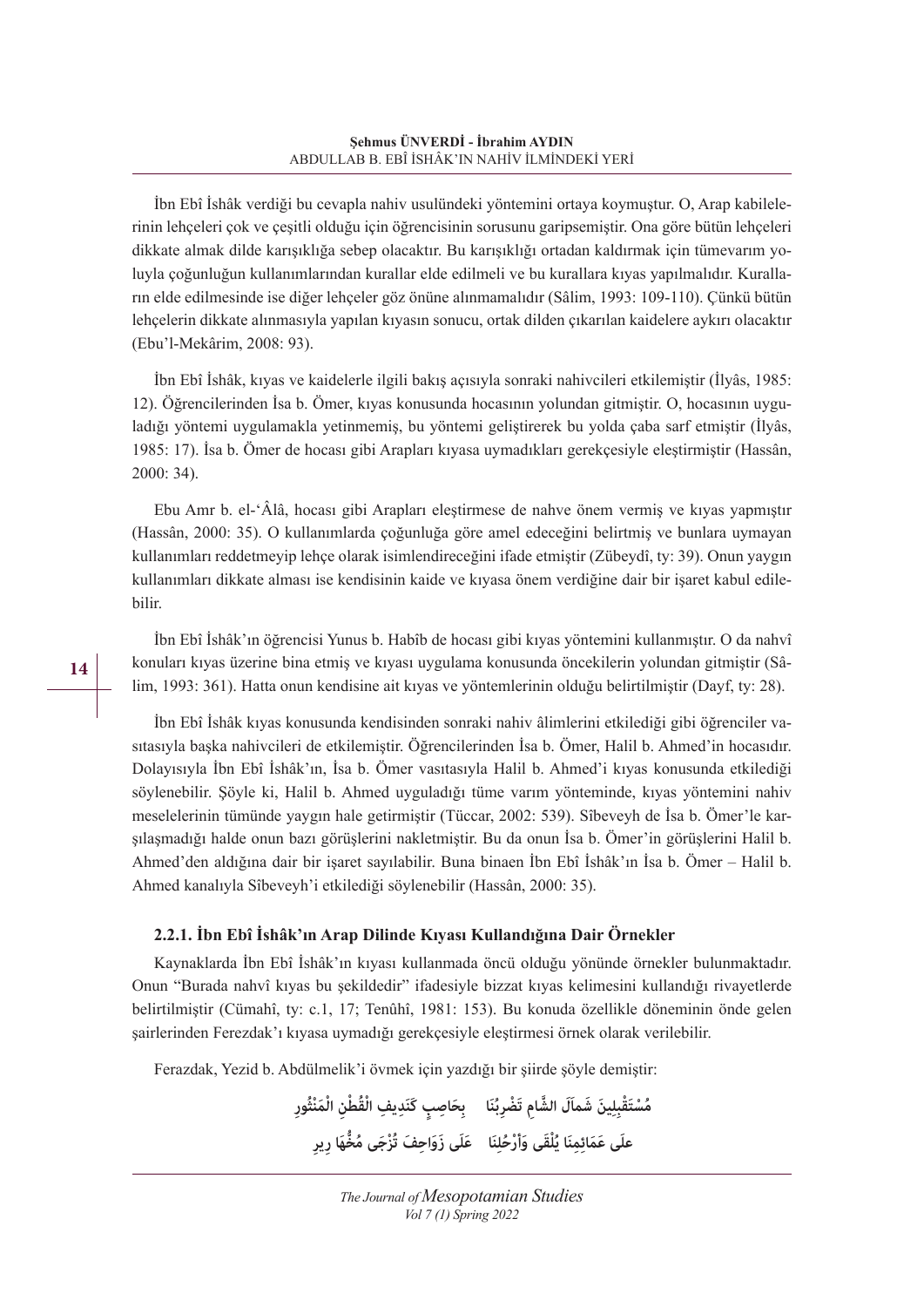İbn Ebî İshâk verdiği bu cevapla nahiv usulündeki yöntemini ortaya koymuştur. O, Arap kabilelerinin lehçeleri çok ve çeşitli olduğu için öğrencisinin sorusunu garipsemiştir. Ona göre bütün lehçeleri dikkate almak dilde karışıklığa sebep olacaktır. Bu karışıklığı ortadan kaldırmak için tümevarım yoluyla çoğunluğun kullanımlarından kurallar elde edilmeli ve bu kurallara kıyas yapılmalıdır. Kuralların elde edilmesinde ise diğer lehçeler göz önüne alınmamalıdır (Sâlim, 1993: 109-110). Çünkü bütün lehçelerin dikkate alınmasıyla yapılan kıyasın sonucu, ortak dilden çıkarılan kaidelere aykırı olacaktır (Ebu'l-Mekârim, 2008: 93).

İbn Ebî İshâk, kıyas ve kaidelerle ilgili bakış açısıyla sonraki nahivcileri etkilemiştir (İlyâs, 1985: 12). Öğrencilerinden İsa b. Ömer, kıyas konusunda hocasının yolundan gitmiştir. O, hocasının uyguladığı yöntemi uygulamakla yetinmemiş, bu yöntemi geliştirerek bu yolda çaba sarf etmiştir (İlyâs, 1985: 17). İsa b. Ömer de hocası gibi Arapları kıyasa uymadıkları gerekçesiyle eleştirmiştir (Hassân, 2000: 34).

Ebu Amr b. el-'Âlâ, hocası gibi Arapları eleştirmese de nahve önem vermiş ve kıyas yapmıştır (Hassân, 2000: 35). O kullanımlarda çoğunluğa göre amel edeceğini belirtmiş ve bunlara uymayan kullanımları reddetmeyip lehçe olarak isimlendireceğini ifade etmiştir (Zübeydî, ty: 39). Onun yaygın kullanımları dikkate alması ise kendisinin kaide ve kıyasa önem verdiğine dair bir işaret kabul edilebilir.

İbn Ebî İshâk'ın öğrencisi Yunus b. Habîb de hocası gibi kıyas yöntemini kullanmıştır. O da nahvî konuları kıyas üzerine bina etmiş ve kıyası uygulama konusunda öncekilerin yolundan gitmiştir (Sâlim, 1993: 361). Hatta onun kendisine ait kıyas ve yöntemlerinin olduğu belirtilmiştir (Dayf, ty: 28).

İbn Ebî İshâk kıyas konusunda kendisinden sonraki nahiv âlimlerini etkilediği gibi öğrenciler vasıtasıyla başka nahivcileri de etkilemiştir. Öğrencilerinden İsa b. Ömer, Halil b. Ahmed'in hocasıdır. Dolayısıyla İbn Ebî İshâk'ın, İsa b. Ömer vasıtasıyla Halil b. Ahmed'i kıyas konusunda etkilediği söylenebilir. Şöyle ki, Halil b. Ahmed uyguladığı tüme varım yönteminde, kıyas yöntemini nahiv meselelerinin tümünde yaygın hale getirmiştir (Tüccar, 2002: 539). Sîbeveyh de İsa b. Ömer'le karşılaşmadığı halde onun bazı görüşlerini nakletmiştir. Bu da onun İsa b. Ömer'in görüşlerini Halil b. Ahmed'den aldığına dair bir işaret sayılabilir. Buna binaen İbn Ebî İshâk'ın İsa b. Ömer – Halil b. Ahmed kanalıyla Sîbeveyh'i etkilediği söylenebilir (Hassân, 2000: 35).

## **2.2.1. İbn Ebî İshâk'ın Arap Dilinde Kıyası Kullandığına Dair Örnekler**

Kaynaklarda İbn Ebî İshâk'ın kıyası kullanmada öncü olduğu yönünde örnekler bulunmaktadır. Onun "Burada nahvî kıyas bu şekildedir" ifadesiyle bizzat kıyas kelimesini kullandığı rivayetlerde belirtilmiştir (Cümahî, ty: c.1, 17; Tenûhî, 1981: 153). Bu konuda özellikle döneminin önde gelen şairlerinden Ferezdak'ı kıyasa uymadığı gerekçesiyle eleştirmesi örnek olarak verilebilir.

Ferazdak, Yezid b. Abdülmelik'i övmek için yazdığı bir şiirde şöyle demiştir:

مُسْتَقْبِلِينَ شَمآلَ الشَّامِ تَضْرِبُنَا ۚ بِحَاصِبٍ كَنَدِيفِ الْقُطْنِ الْمَنْثُورِ علَى عَمَائِمِنَا يُلْقَى وَأَرْحُلِنَا ۖ عَلَى زَوَاحِفَ تُزْجَى مُخَّهَا رِيرِ **ُل**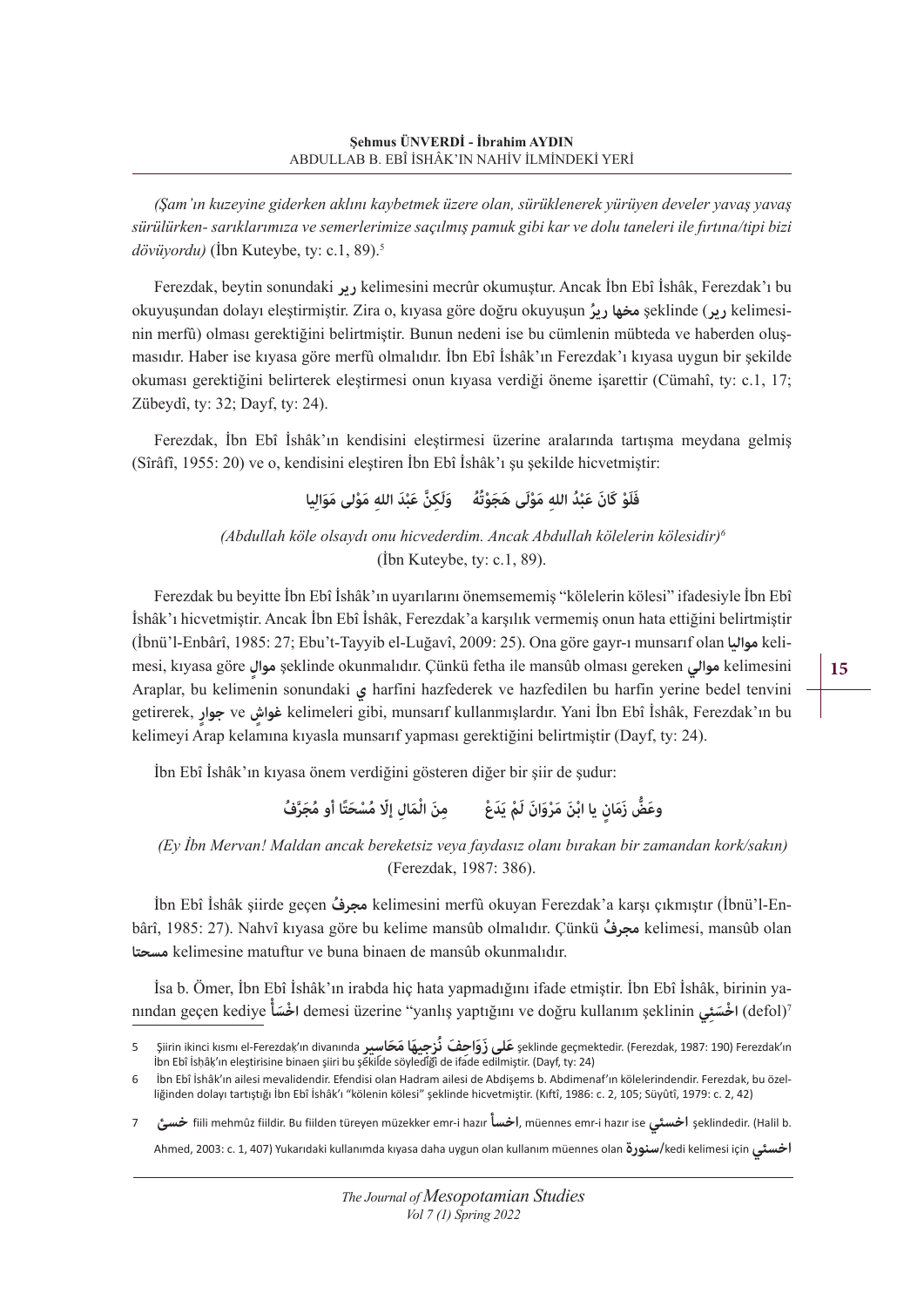*(Şam'ın kuzeyine giderken aklını kaybetmek üzere olan, sürüklenerek yürüyen develer yavaş yavaş sürülürken- sarıklarımıza ve semerlerimize saçılmış pamuk gibi kar ve dolu taneleri ile fırtına/tipi bizi dövüyordu)* (İbn Kuteybe, ty: c.1, 89).5

Ferezdak, beytin sonundaki **رير** kelimesini mecrûr okumuştur. Ancak İbn Ebî İshâk, Ferezdak'ı bu okuyuşundan dolayı eleştirmiştir. Zira o, kıyasa göre doğru okuyuşun **رير ُ مخها** şeklinde (**رير** kelimesinin merfû) olması gerektiğini belirtmiştir. Bunun nedeni ise bu cümlenin mübteda ve haberden oluşmasıdır. Haber ise kıyasa göre merfû olmalıdır. İbn Ebî İshâk'ın Ferezdak'ı kıyasa uygun bir şekilde okuması gerektiğini belirterek eleştirmesi onun kıyasa verdiği öneme işarettir (Cümahî, ty: c.1, 17; Zübeydî, ty: 32; Dayf, ty: 24).

Ferezdak, İbn Ebî İshâk'ın kendisini eleştirmesi üzerine aralarında tartışma meydana gelmiş (Sîrâfî, 1955: 20) ve o, kendisini eleştiren İbn Ebî İshâk'ı şu şekilde hicvetmiştir:

فَلَوْ كَانَ عَبْدُ اللهِ مَوْلَى هَجَوْتُهُ وَلَكِنَّ عَبْدَ اللهِ مَوْلى مَوَالِيا

*(Abdullah köle olsaydı onu hicvederdim. Ancak Abdullah kölelerin kölesidir)<sup>6</sup>* (İbn Kuteybe, ty: c.1, 89).

Ferezdak bu beyitte İbn Ebî İshâk'ın uyarılarını önemsememiş "kölelerin kölesi" ifadesiyle İbn Ebî İshâk'ı hicvetmiştir. Ancak İbn Ebî İshâk, Ferezdak'a karşılık vermemiş onun hata ettiğini belirtmiştir (İbnü'l-Enbârî, 1985: 27; Ebu't-Tayyib el-Luğavî, 2009: 25). Ona göre gayr-ı munsarıf olan **مواليا** kelimesi, kıyasa göre **موال ٍ** şeklinde okunmalıdır. Çünkü fetha ile mansûb olması gereken **موالي** kelimesini Araplar, bu kelimenin sonundaki **ي** harfini hazfederek ve hazfedilen bu harfin yerine bedel tenvini getirerek, **ٍجوار** ve **ٍغواش** kelimeleri gibi, munsarıf kullanmışlardır. Yani İbn Ebî İshâk, Ferezdak'ın bu kelimeyi Arap kelamına kıyasla munsarıf yapması gerektiğini belirtmiştir (Dayf, ty: 24).

İbn Ebî İshâk'ın kıyasa önem verdiğini gösteren diğer bir şiir de şudur:

وعَضُّ زَمَانٍ يا ابْنَ مَرْوَانَ لَمْ يَدَعْ مِنَ الْمَالِ إلَّا مُسْحَتًا أَو مُجَرَّفُ

*(Ey İbn Mervan! Maldan ancak bereketsiz veya faydasız olanı bırakan bir zamandan kork/sakın)*  (Ferezdak, 1987: 386).

İbn Ebî İshâk şiirde geçen **مجرف ُ** kelimesini merfû okuyan Ferezdak'a karşı çıkmıştır (İbnü'l-Enbârî, 1985: 27). Nahvî kıyasa göre bu kelime mansûb olmalıdır. Çünkü **مجرف ُ** kelimesi, mansûb olan **مسحتا** kelimesine matuftur ve buna binaen de mansûb okunmalıdır.

İsa b. Ömer, İbn Ebî İshâk'ın irabda hiç hata yapmadığını ifade etmiştir. İbn Ebî İshâk, birinin yanından geçen kediye **ْ سأَ اخ ْ** demesi üzerine "yanlış yaptığını ve doğru kullanım şeklinin **ئيِسَ اخ ْ**) defol)7 **15** 

Siirin ikinci kısmı el-Ferezdak'ın divanında حَلي زَوَاحِفَ نُرْجِيهَا مَحَاسيرِ şeklinde geçmektedir. (Ferezdak, 1987: 190) Ferezdak'ın<br>İbn Ebî İshâk'ın eleştirisine binaen şiiri bu şékilde söylediği de ifade edilmiştir.

<sup>6</sup> İbn Ebî İshâk'ın ailesi mevalidendir. Efendisi olan Hadram ailesi de Abdişems b. Abdimenaf'ın kölelerindendir. Ferezdak, bu özelliğinden dolayı tartıştığı İbn Ebî İshâk'ı "kölenin kölesi" şeklinde hicvetmiştir. (Kıftî, 1986: c. 2, 105; Süyûtî, 1979: c. 2, 42)

<sup>7</sup> **خسئ** fiili mehmûz fiildir. Bu fiilden türeyen müzekker emr-i hazır **اخسأ**, müennes emr-i hazır ise **اخسئي** şeklindedir. (Halil b. Ahmed, 2003: c. 1, 407) Yukarıdaki kullanımda kıyasa daha uygun olan kullanım müennes olan **سنورة/**kedi kelimesi için **اخسئي**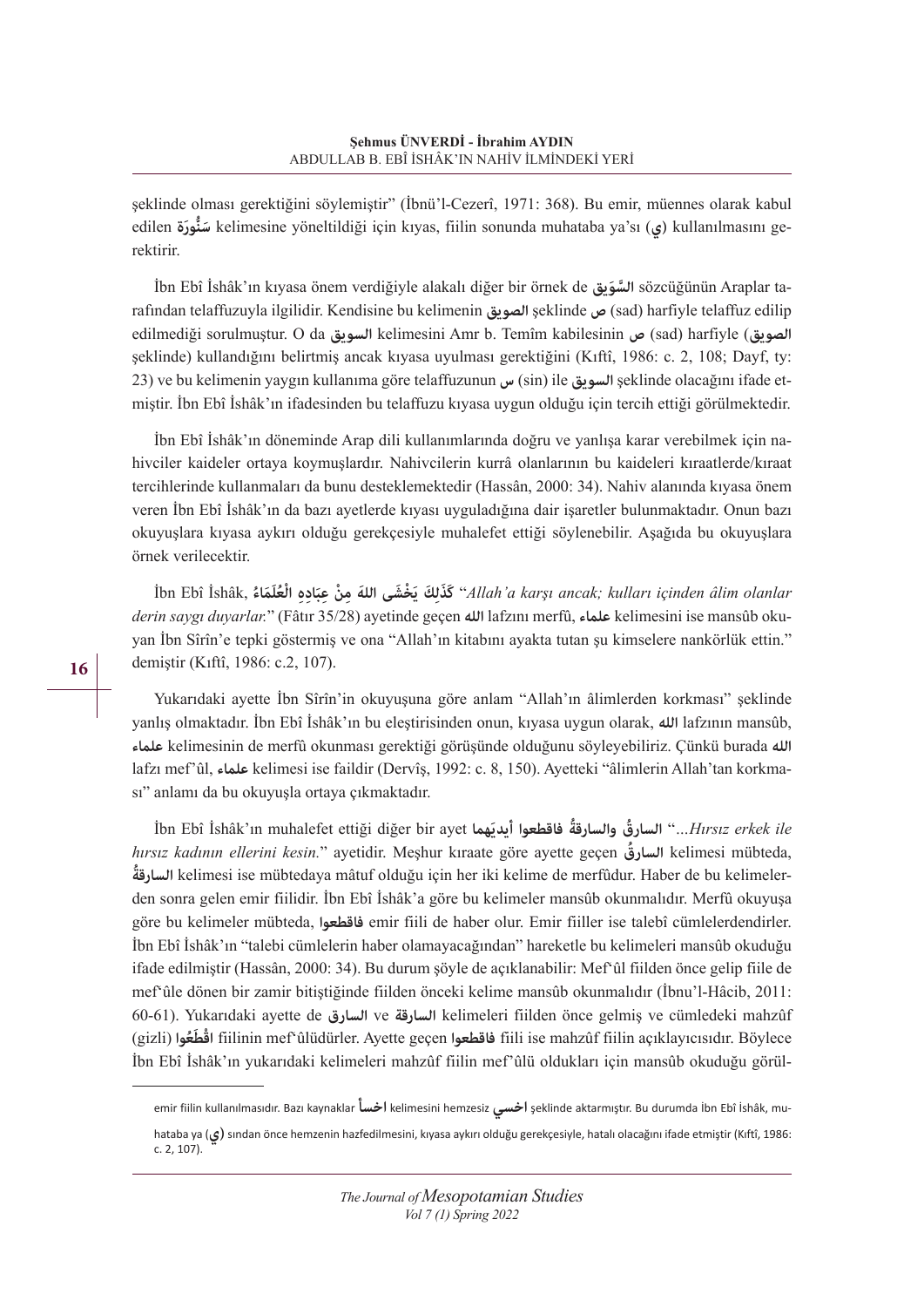şeklinde olması gerektiğini söylemiştir" (İbnü'l-Cezerî, 1971: 368). Bu emir, müennes olarak kabul edilen **ورةَ نُّسَ** kelimesine yöneltildiği için kıyas, fiilin sonunda muhataba ya'sı (**ي (**kullanılmasını gerektirir.

İbn Ebî İshâk'ın kıyasa önem verdiğiyle alakalı diğer bir örnek de **ويقَالس َّ** sözcüğünün Araplar tarafından telaffuzuyla ilgilidir. Kendisine bu kelimenin **الصويق** şeklinde **ص**) sad) harfiyle telaffuz edilip edilmediği sorulmuştur. O da **السويق** kelimesini Amr b. Temîm kabilesinin **ص**) sad) harfiyle (**الصويق** şeklinde) kullandığını belirtmiş ancak kıyasa uyulması gerektiğini (Kıftî, 1986: c. 2, 108; Dayf, ty: 23) ve bu kelimenin yaygın kullanıma göre telaffuzunun **س**) sin) ile **السويق** şeklinde olacağını ifade etmiştir. İbn Ebî İshâk'ın ifadesinden bu telaffuzu kıyasa uygun olduğu için tercih ettiği görülmektedir.

İbn Ebî İshâk'ın döneminde Arap dili kullanımlarında doğru ve yanlışa karar verebilmek için nahivciler kaideler ortaya koymuşlardır. Nahivcilerin kurrâ olanlarının bu kaideleri kıraatlerde/kıraat tercihlerinde kullanmaları da bunu desteklemektedir (Hassân, 2000: 34). Nahiv alanında kıyasa önem veren İbn Ebî İshâk'ın da bazı ayetlerde kıyası uyguladığına dair işaretler bulunmaktadır. Onun bazı okuyuşlara kıyasa aykırı olduğu gerekçesiyle muhalefet ettiği söylenebilir. Aşağıda bu okuyuşlara örnek verilecektir.

İbn Ebî İshâk, الْعُلَمَاءُ 'Allah'a karşı ancak; kulları içinden âlim olanlar.'' كَذَلِكَ يَخْشَى اللهَ مِنْ عِبَادِهِ الْعُلَمَاءُ *derin saygı duyarlar.*" (Fâtır 35/28) ayetinde geçen **الله** lafzını merfû, **علماء** kelimesini ise mansûb okuyan İbn Sîrîn'e tepki göstermiş ve ona "Allah'ın kitabını ayakta tutan şu kimselere nankörlük ettin." demiştir (Kıftî, 1986: c.2, 107).

Yukarıdaki ayette İbn Sîrîn'in okuyuşuna göre anlam "Allah'ın âlimlerden korkması" şeklinde yanlış olmaktadır. İbn Ebî İshâk'ın bu eleştirisinden onun, kıyasa uygun olarak, **الله** lafzının mansûb, **علماء** kelimesinin de merfû okunması gerektiği görüşünde olduğunu söyleyebiliriz. Çünkü burada **الله** lafzı mef'ûl, **علماء** kelimesi ise faildir (Dervîş, 1992: c. 8, 150). Ayetteki "âlimlerin Allah'tan korkması" anlamı da bu okuyuşla ortaya çıkmaktadır.

İbn Ebî İshâk'ın muhalefet ettiği diğer bir ayet **هماَ**  *ile erkek Hırsız* "*…***ُ السارق ُ والسارقة فاقطعوا أيدي** *hırsız kadının ellerini kesin.*" ayetidir. Meşhur kıraate göre ayette geçen **السارق ُ** kelimesi mübteda, **السارقة ُ** kelimesi ise mübtedaya mâtuf olduğu için her iki kelime de merfûdur. Haber de bu kelimelerden sonra gelen emir fiilidir. İbn Ebî İshâk'a göre bu kelimeler mansûb okunmalıdır. Merfû okuyuşa göre bu kelimeler mübteda, **فاقطعوا** emir fiili de haber olur. Emir fiiller ise talebî cümlelerdendirler. İbn Ebî İshâk'ın "talebi cümlelerin haber olamayacağından" hareketle bu kelimeleri mansûb okuduğu ifade edilmiştir (Hassân, 2000: 34). Bu durum şöyle de açıklanabilir: Mef'ûl fiilden önce gelip fiile de mef'ûle dönen bir zamir bitiştiğinde fiilden önceki kelime mansûb okunmalıdır (İbnu'l-Hâcib, 2011: 60-61). Yukarıdaki ayette de **السارق** ve **السارقة** kelimeleri fiilden önce gelmiş ve cümledeki mahzûf **َ ُعوا** (gizli( **اقط ْ** fiilinin mef'ûlüdürler. Ayette geçen **فاقطعوا** fiili ise mahzûf fiilin açıklayıcısıdır. Böylece İbn Ebî İshâk'ın yukarıdaki kelimeleri mahzûf fiilin mef'ûlü oldukları için mansûb okuduğu görül-

emir fiilin kullanılmasıdır. Bazı kaynaklar **اخسأ** kelimesini hemzesiz **اخسي** şeklinde aktarmıştır. Bu durumda İbn Ebî İshâk, mu-

hataba ya (**ي (**sından önce hemzenin hazfedilmesini, kıyasa aykırı olduğu gerekçesiyle, hatalı olacağını ifade etmiştir (Kıftî, 1986: c. 2, 107).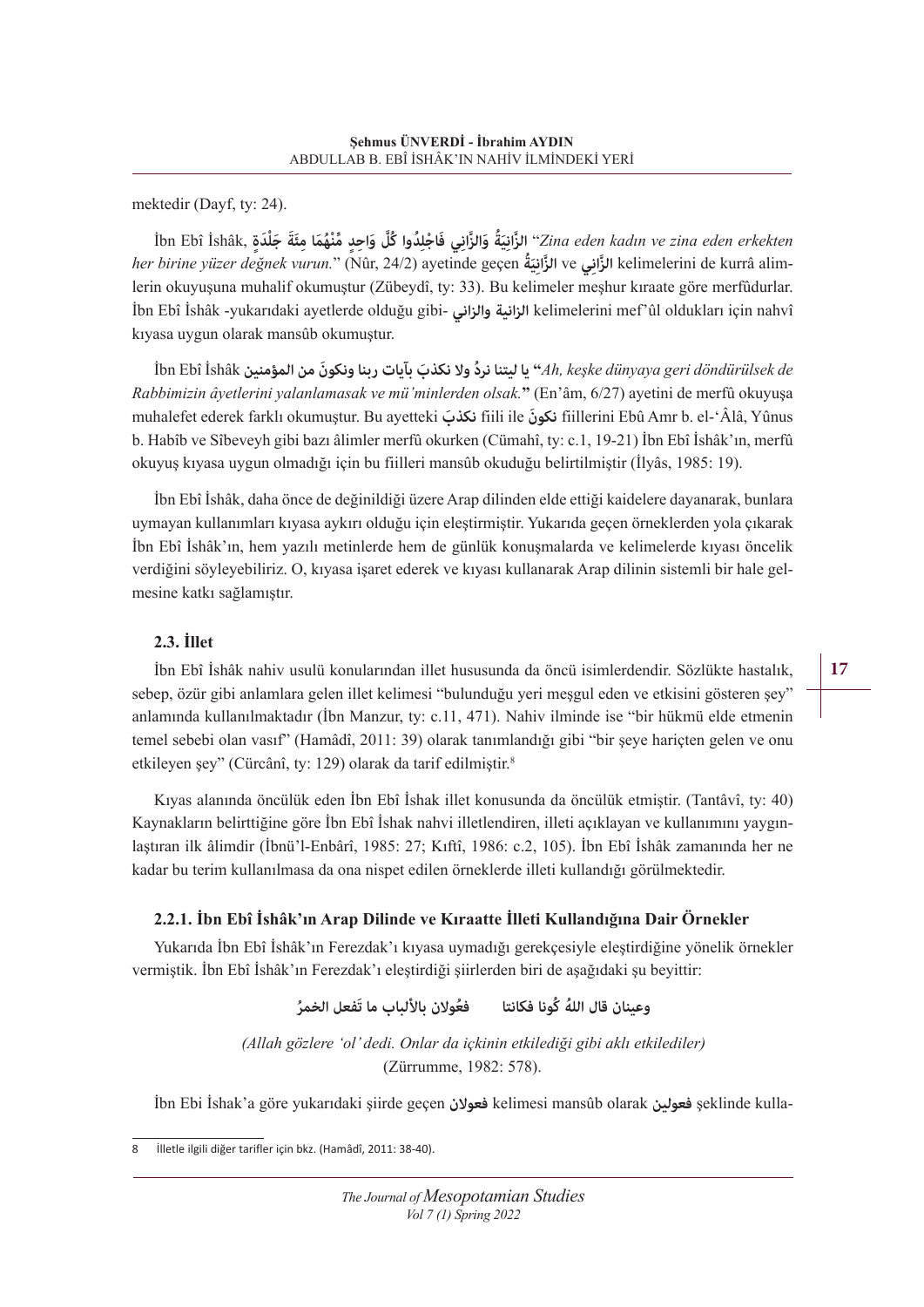mektedir (Dayf, ty: 24).

Žina eden kadın ve zina eden erkekten '' الزَّانِيَةُ وَالزَّانِي فَاجْلِدُوا كُلَّ وَاحِدٍ مُّنْهُمَا مِئَةَ جَلْدَةٍ ,İbn Ebî İshâk *her birine yüzer değnek vurun.*" (Nûr, 24/2) ayetinde geçen **ةَُ ِي ِي** ve **َّ الزان الزان َّ** kelimelerini de kurrâ alimlerin okuyuşuna muhalif okumuştur (Zübeydî, ty: 33). Bu kelimeler meşhur kıraate göre merfûdurlar. İbn Ebî İshâk -yukarıdaki ayetlerde olduğu gibi- **والزاني الزانية** kelimelerini mef'ûl oldukları için nahvî kıyasa uygun olarak mansûb okumuştur.

 *de döndürülsek geri dünyaya keşke ,Ah* **"يا ُ ليتنا نرد َ وال نكذب بآيات ربناونكونَ من المؤمنين** İshâk Ebî İbn *Rabbimizin âyetlerini yalanlamasak ve mü'minlerden olsak.***"** (En'âm, 6/27) ayetini de merfû okuyuşa muhalefet ederek farklı okumuştur. Bu ayetteki **نكذب َ** fiili ile **َنكون** fiillerini Ebû Amr b. el-'Âlâ, Yûnus b. Habîb ve Sîbeveyh gibi bazı âlimler merfû okurken (Cümahî, ty: c.1, 19-21) İbn Ebî İshâk'ın, merfû okuyuş kıyasa uygun olmadığı için bu fiilleri mansûb okuduğu belirtilmiştir (İlyâs, 1985: 19).

İbn Ebî İshâk, daha önce de değinildiği üzere Arap dilinden elde ettiği kaidelere dayanarak, bunlara uymayan kullanımları kıyasa aykırı olduğu için eleştirmiştir. Yukarıda geçen örneklerden yola çıkarak İbn Ebî İshâk'ın, hem yazılı metinlerde hem de günlük konuşmalarda ve kelimelerde kıyası öncelik verdiğini söyleyebiliriz. O, kıyasa işaret ederek ve kıyası kullanarak Arap dilinin sistemli bir hale gelmesine katkı sağlamıştır.

## **2.3. İllet**

İbn Ebî İshâk nahiv usulü konularından illet hususunda da öncü isimlerdendir. Sözlükte hastalık, sebep, özür gibi anlamlara gelen illet kelimesi "bulunduğu yeri meşgul eden ve etkisini gösteren şey" anlamında kullanılmaktadır (İbn Manzur, ty: c.11, 471). Nahiv ilminde ise "bir hükmü elde etmenin temel sebebi olan vasıf" (Hamâdî, 2011: 39) olarak tanımlandığı gibi "bir şeye hariçten gelen ve onu etkileyen şey" (Cürcânî, ty: 129) olarak da tarif edilmiştir.8

Kıyas alanında öncülük eden İbn Ebî İshak illet konusunda da öncülük etmiştir. (Tantâvî, ty: 40) Kaynakların belirttiğine göre İbn Ebî İshak nahvi illetlendiren, illeti açıklayan ve kullanımını yaygınlaştıran ilk âlimdir (İbnü'l-Enbârî, 1985: 27; Kıftî, 1986: c.2, 105). İbn Ebî İshâk zamanında her ne kadar bu terim kullanılmasa da ona nispet edilen örneklerde illeti kullandığı görülmektedir.

## **2.2.1. İbn Ebî İshâk'ın Arap Dilinde ve Kıraatte İlleti Kullandığına Dair Örnekler**

Yukarıda İbn Ebî İshâk'ın Ferezdak'ı kıyasa uymadığı gerekçesiyle eleştirdiğine yönelik örnekler vermiştik. İbn Ebî İshâk'ın Ferezdak'ı eleştirdiği şiirlerden biri de aşağıdaki şu beyittir:

**وعينان ُ قال الله كُونا فكانتا ُفعوالن باأللباب ما ُ تَفعل الخمر**

*(Allah gözlere 'ol' dedi. Onlar da içkinin etkilediği gibi aklı etkilediler)*  (Zürrumme, 1982: 578).

İbn Ebi İshak'a göre yukarıdaki şiirde geçen **فعوالن** kelimesi mansûb olarak **فعولين** şeklinde kulla-

İlletle ilgili diğer tarifler için bkz. (Hamâdî, 2011: 38-40).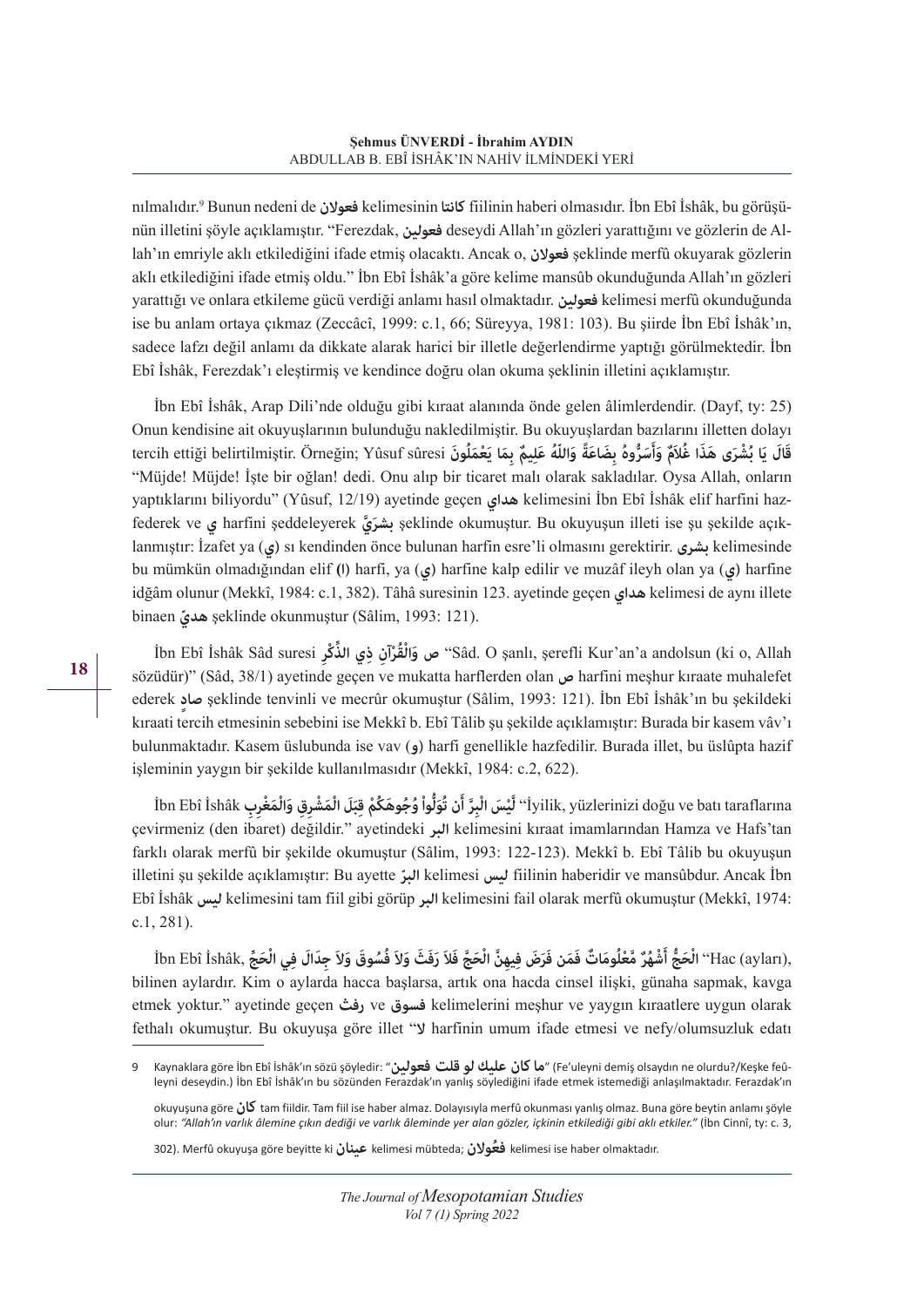nılmalıdır.9 Bunun nedeni de **فعوالن** kelimesinin **كانتا** fiilinin haberi olmasıdır. İbn Ebî İshâk, bu görüşünün illetini şöyle açıklamıştır. "Ferezdak, **فعولين** deseydi Allah'ın gözleri yarattığını ve gözlerin de Allah'ın emriyle aklı etkilediğini ifade etmiş olacaktı. Ancak o, **فعوالن** şeklinde merfû okuyarak gözlerin aklı etkilediğini ifade etmiş oldu." İbn Ebî İshâk'a göre kelime mansûb okunduğunda Allah'ın gözleri yarattığı ve onlara etkileme gücü verdiği anlamı hasıl olmaktadır. **فعولين** kelimesi merfû okunduğunda ise bu anlam ortaya çıkmaz (Zeccâcî, 1999: c.1, 66; Süreyya, 1981: 103). Bu şiirde İbn Ebî İshâk'ın, sadece lafzı değil anlamı da dikkate alarak harici bir illetle değerlendirme yaptığı görülmektedir. İbn Ebî İshâk, Ferezdak'ı eleştirmiş ve kendince doğru olan okuma şeklinin illetini açıklamıştır.

İbn Ebî İshâk, Arap Dili'nde olduğu gibi kıraat alanında önde gelen âlimlerdendir. (Dayf, ty: 25) Onun kendisine ait okuyuşlarının bulunduğu nakledilmiştir. Bu okuyuşlardan bazılarını illetten dolayı قَالَ يَا بُشْرَى هَذَا غُلَامٌ وَأَسَرُّوهُ بِضَاعَةً وَاللّهُ عَلِيمٌ بِمَا يَعْمَلُونَ tercih ettiği belirtilmiştir. Örneğin; Yûsuf sûresi "Müjde! Müjde! İşte bir oğlan! dedi. Onu alıp bir ticaret malı olarak sakladılar. Oysa Allah, onların yaptıklarını biliyordu" (Yûsuf, 12/19) ayetinde geçen **هداي** kelimesini İbn Ebî İshâk elif harfini hazfederek ve **ي** harfini şeddeleyerek **يَّ بشر َ** şeklinde okumuştur. Bu okuyuşun illeti ise şu şekilde açıklanmıştır: İzafet ya (**ي (**sı kendinden önce bulunan harfin esre'li olmasını gerektirir. **بشرى** kelimesinde bu mümkün olmadığından elif **(ا (**harfi, ya (**ي (**harfine kalp edilir ve muzâf ileyh olan ya (**ي (**harfine idğâm olunur (Mekkî, 1984: c.1, 382). Tâhâ suresinin 123. ayetinde geçen **هداي** kelimesi de aynı illete binaen **هدي ّ** şeklinde okunmuştur (Sâlim, 1993: 121).

**ُْقْرآنِ ِذ ِّ ي الذ ِكْر** suresi Sâd İshâk Ebî İbn **وال صَ**" Sâd. O şanlı, şerefli Kur'an'a andolsun (ki o, Allah sözüdür)" (Sâd, 38/1) ayetinde geçen ve mukatta harflerden olan **ص** harfini meşhur kıraate muhalefet ederek **صادٍ** şeklinde tenvinli ve mecrûr okumuştur (Sâlim, 1993: 121). İbn Ebî İshâk'ın bu şekildeki kıraati tercih etmesinin sebebini ise Mekkî b. Ebî Tâlib şu şekilde açıklamıştır: Burada bir kasem vâv'ı bulunmaktadır. Kasem üslubunda ise vav (**و (**harfi genellikle hazfedilir. Burada illet, bu üslûpta hazif işleminin yaygın bir şekilde kullanılmasıdır (Mekkî, 1984: c.2, 622).

İbn Ebî İshâk دِقِدَ وَالْمَغْرِي وَالْمَغْرِينِ وَالْمَغْرِينِ وَالْمَغْرِينِ İbn Ebî İshâk (قَبُوهَكُمْ قِبَلَ الْمَشْرِقِ وَالْمَغْرِبِ çevirmeniz (den ibaret) değildir." ayetindeki **البر** kelimesini kıraat imamlarından Hamza ve Hafs'tan farklı olarak merfû bir şekilde okumuştur (Sâlim, 1993: 122-123). Mekkî b. Ebî Tâlib bu okuyuşun illetini şu şekilde açıklamıştır: Bu ayette **البر ّ** kelimesi **ليس** fiilinin haberidir ve mansûbdur. Ancak İbn Ebî İshâk **ليس** kelimesini tam fiil gibi görüp **البر** kelimesini fail olarak merfû okumuştur (Mekkî, 1974: c.1, 281).

:Hac (ayları) (الْحَجُّ أَشْهُرٌ مَّعْلُومَاتٌ فَمَن فَرَضَ فِيهِنَّ الْحَجَّ فَلاَ رَفَثَ وَلاَ فُسُوقَ وَلاَ جِدَالَ فِي الْحَجَّ bilinen aylardır. Kim o aylarda hacca başlarsa, artık ona hacda cinsel ilişki, günaha sapmak, kavga etmek yoktur." ayetinde geçen **رفث** ve **فسوق** kelimelerini meşhur ve yaygın kıraatlere uygun olarak fethalı okumuştur. Bu okuyuşa göre illet "**ال** harfinin umum ifade etmesi ve nefy/olumsuzluk edatı

<sup>9</sup> Kaynaklara göre İbn Ebî İshâk'ın sözü şöyledir: "**فعولين عليكلوقلت ماكان**) "Fe'uleyni demiş olsaydın ne olurdu?/Keşke feûleyni deseydin.) İbn Ebî İshâk'ın bu sözünden Ferazdak'ın yanlış söylediğini ifade etmek istemediği anlaşılmaktadır. Ferazdak'ın

okuyuşuna göre **كان** tam fiildir. Tam fiil ise haber almaz. Dolayısıyla merfû okunması yanlış olmaz. Buna göre beytin anlamı şöyle olur: *"Allah'ın varlık âlemine çıkın dediği ve varlık âleminde yer alan gözler, içkinin etkilediği gibi aklı etkiler."* (İbn Cinnî, ty: c. 3,

<sup>302).</sup> Merfû okuyuşa göre beyitte ki **عينان** kelimesi mübteda; **فعوالنُ** kelimesi ise haber olmaktadır.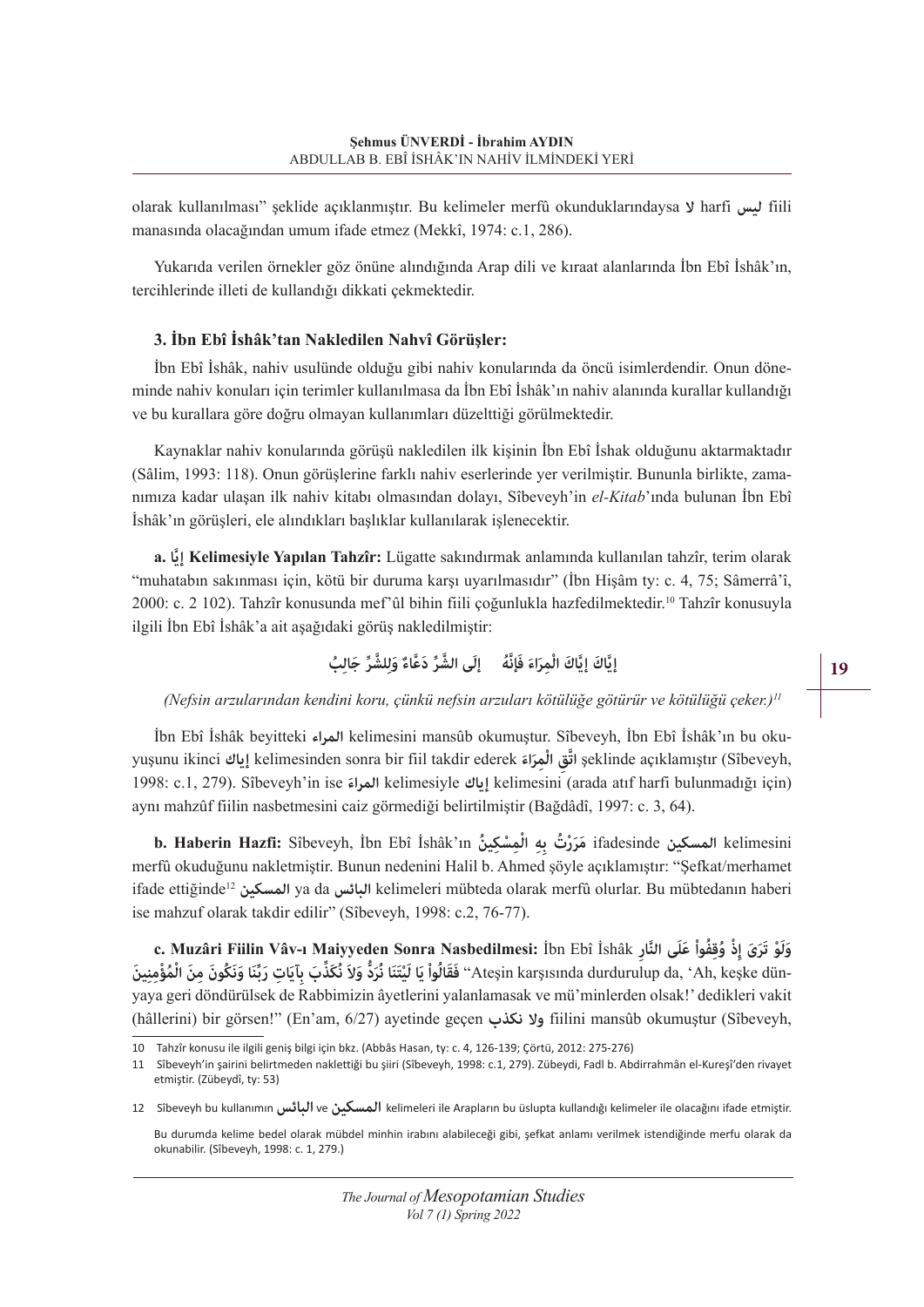olarak kullanılması" şeklide açıklanmıştır. Bu kelimeler merfû okunduklarındaysa **ال** harfi **ليس** fiili manasında olacağından umum ifade etmez (Mekkî, 1974: c.1, 286).

Yukarıda verilen örnekler göz önüne alındığında Arap dili ve kıraat alanlarında İbn Ebî İshâk'ın, tercihlerinde illeti de kullandığı dikkati çekmektedir.

#### **3. İbn Ebî İshâk'tan Nakledilen Nahvî Görüşler:**

İbn Ebî İshâk, nahiv usulünde olduğu gibi nahiv konularında da öncü isimlerdendir. Onun döneminde nahiv konuları için terimler kullanılmasa da İbn Ebî İshâk'ın nahiv alanında kurallar kullandığı ve bu kurallara göre doğru olmayan kullanımları düzelttiği görülmektedir.

Kaynaklar nahiv konularında görüşü nakledilen ilk kişinin İbn Ebî İshak olduğunu aktarmaktadır (Sâlim, 1993: 118). Onun görüşlerine farklı nahiv eserlerinde yer verilmiştir. Bununla birlikte, zamanımıza kadar ulaşan ilk nahiv kitabı olmasından dolayı, Sîbeveyh'in *el-Kitab*'ında bulunan İbn Ebî İshâk'ın görüşleri, ele alındıkları başlıklar kullanılarak işlenecektir.

**َّا .a إي Kelimesiyle Yapılan Tahzîr:** Lügatte sakındırmak anlamında kullanılan tahzîr, terim olarak "muhatabın sakınması için, kötü bir duruma karşı uyarılmasıdır" (İbn Hişâm ty: c. 4, 75; Sâmerrâ'î, 2000: c. 2 102). Tahzîr konusunda mef'ûl bihin fiili çoğunlukla hazfedilmektedir.<sup>10</sup> Tahzîr konusuyla ilgili İbn Ebî İshâk'a ait aşağıdaki görüş nakledilmiştir:

## إِيَّاكَ إِيَّاكَ الْمِرَاءَ فَإِنَّهُ إِلَى الشَّرِّ دَعَّاءٌ وَلِلشَّرِّ جَالِبُ

*(Nefsin arzularından kendini koru, çünkü nefsin arzuları kötülüğe götürür ve kötülüğü çeker.)<sup>11</sup>*

İbn Ebî İshâk beyitteki **المراء** kelimesini mansûb okumuştur. Sîbeveyh, İbn Ebî İshâk'ın bu okuyuşunu ikinci إياك kelimesinden sonra bir fiil takdir ederek إياك şeklinde açıklamıştır (Sîbeveyh, 1998: c.1, 279). Sîbeveyh'in ise **َ المراء** kelimesiyle **إياك** kelimesini (arada atıf harfi bulunmadığı için) aynı mahzûf fiilin nasbetmesini caiz görmediği belirtilmiştir (Bağdâdî, 1997: c. 3, 64).

b. Haberin Hazfi: Sîbeveyh, İbn Ebî İshâk'ın مَرَرْتُ بِهِ الْمِسْكِينُ ifadesinde المسكين kelimesini<br>merfû okuduğunu nakletmiştir. Bunun nedenini Halil b. Ahmed şöyle açıklamıştır: "Şefkat/merhamet ifade ettiğinde12 **المسكين** ya da **البائس** kelimeleri mübteda olarak merfû olurlar. Bu mübtedanın haberi ise mahzuf olarak takdir edilir" (Sîbeveyh, 1998: c.2, 76-77).

**c. Muzâri Fiilin Vâv-ı Maiyyeden Sonra Nasbedilmesi:** İbn Ebî İshâk **ِالنار ى َّ َ ِ ْذ ُوِقُف َ واْ علَ ْو َتَرَى إ** وَلَوْ تَرَىَ إِذْ وُقِفُواْ عَلَى النَّارِ C. Muzâri Fiilin Vâv-ı Maiyyeden Sonra Nasbedilmesi: İbn Ebî İshâk<br>"Ateşin karşısında durdurulup da, 'Ah, keşke dün-'' فَقَالُواْ يَا لَيْتَنَا نُرَدُّ وَلاَ نُكَذِّبَ بِآيَاتِ yaya geri döndürülsek de Rabbimizin âyetlerini yalanlamasak ve mü'minlerden olsak!' dedikleri vakit (hâllerini) bir görsen!" (En'am, 6/27) ayetinde geçen **نكذب وال** fiilini mansûb okumuştur (Sîbeveyh,

<sup>10</sup> Tahzîr konusu ile ilgili geniş bilgi için bkz. (Abbâs Hasan, ty: c. 4, 126-139; Çörtü, 2012: 275-276)

<sup>11</sup> Sîbeveyh'in şairini belirtmeden naklettiği bu şiiri (Sîbeveyh, 1998: c.1, 279). Zübeydi, Fadl b. Abdirrahmân el-Kureşî'den rivayet etmiştir. (Zübeydî, ty: 53)

<sup>12</sup> Sîbeveyh bu kullanımın**البائس** ve **المسكين** kelimeleri ile Arapların bu üslupta kullandığı kelimeler ile olacağını ifade etmiştir.

Bu durumda kelime bedel olarak mübdel minhin irabını alabileceği gibi, şefkat anlamı verilmek istendiğinde merfu olarak da okunabilir. (Sîbeveyh, 1998: c. 1, 279.)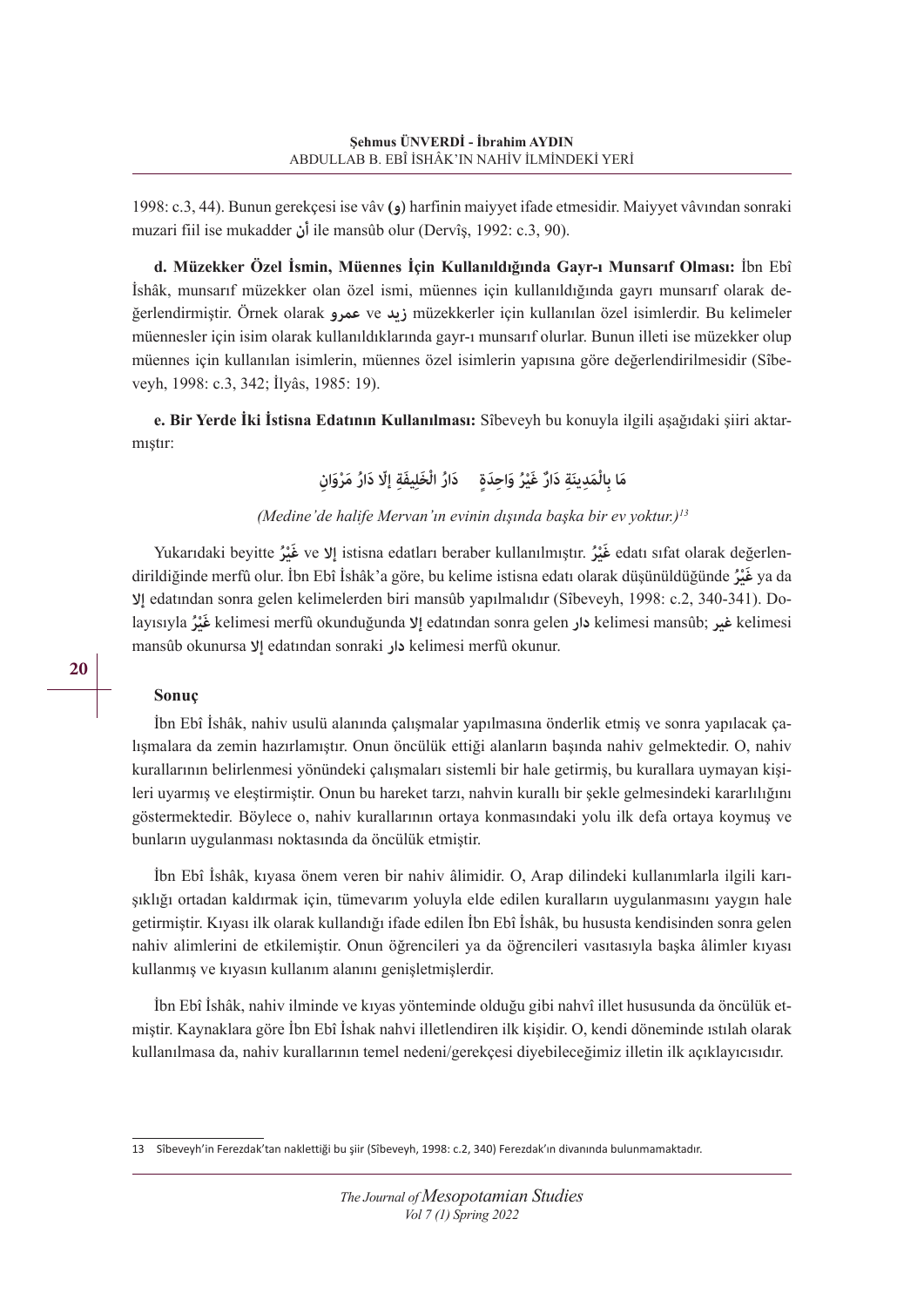1998: c.3, 44). Bunun gerekçesi ise vâv **(و (**harfinin maiyyet ifade etmesidir. Maiyyet vâvından sonraki muzari fiil ise mukadder **أن** ile mansûb olur (Dervîş, 1992: c.3, 90).

**d. Müzekker Özel İsmin, Müennes İçin Kullanıldığında Gayr-ı Munsarıf Olması:** İbn Ebî İshâk, munsarıf müzekker olan özel ismi, müennes için kullanıldığında gayrı munsarıf olarak değerlendirmiştir. Örnek olarak **عمرو** ve **زيد** müzekkerler için kullanılan özel isimlerdir. Bu kelimeler müennesler için isim olarak kullanıldıklarında gayr-ı munsarıf olurlar. Bunun illeti ise müzekker olup müennes için kullanılan isimlerin, müennes özel isimlerin yapısına göre değerlendirilmesidir (Sîbeveyh, 1998: c.3, 342; İlyâs, 1985: 19).

**e. Bir Yerde İki İstisna Edatının Kullanılması:** Sîbeveyh bu konuyla ilgili aşağıdaki şiiri aktarmıştır:

مَا بِالْمَدِينَةِ دَارٌ غَيْرُ وَاحِدَةٍ دَارُ الْخَلِيفَةِ إلّا دَارُ مَرْوَانِ

*(Medine'de halife Mervan'ın evinin dışında başka bir ev yoktur.)<sup>13</sup>*

Yukarıdaki beyitte **رُْ غيَ** ve **إال** istisna edatları beraber kullanılmıştır. **رُْ غيَ** edatı sıfat olarak değerlendirildiğinde merfû olur. İbn Ebî İshâk'a göre, bu kelime istisna edatı olarak düşünüldüğünde **رُْ غيَ** ya da **إال** edatından sonra gelen kelimelerden biri mansûb yapılmalıdır (Sîbeveyh, 1998: c.2, 340-341). Dolayısıyla **رُْ غيَ** kelimesi merfû okunduğunda **إال** edatından sonra gelen **دار** kelimesi mansûb; **غير** kelimesi mansûb okunursa **إال** edatından sonraki **دار** kelimesi merfû okunur.

## **Sonuç**

İbn Ebî İshâk, nahiv usulü alanında çalışmalar yapılmasına önderlik etmiş ve sonra yapılacak çalışmalara da zemin hazırlamıştır. Onun öncülük ettiği alanların başında nahiv gelmektedir. O, nahiv kurallarının belirlenmesi yönündeki çalışmaları sistemli bir hale getirmiş, bu kurallara uymayan kişileri uyarmış ve eleştirmiştir. Onun bu hareket tarzı, nahvin kurallı bir şekle gelmesindeki kararlılığını göstermektedir. Böylece o, nahiv kurallarının ortaya konmasındaki yolu ilk defa ortaya koymuş ve bunların uygulanması noktasında da öncülük etmiştir.

İbn Ebî İshâk, kıyasa önem veren bir nahiv âlimidir. O, Arap dilindeki kullanımlarla ilgili karışıklığı ortadan kaldırmak için, tümevarım yoluyla elde edilen kuralların uygulanmasını yaygın hale getirmiştir. Kıyası ilk olarak kullandığı ifade edilen İbn Ebî İshâk, bu hususta kendisinden sonra gelen nahiv alimlerini de etkilemiştir. Onun öğrencileri ya da öğrencileri vasıtasıyla başka âlimler kıyası kullanmış ve kıyasın kullanım alanını genişletmişlerdir.

İbn Ebî İshâk, nahiv ilminde ve kıyas yönteminde olduğu gibi nahvî illet hususunda da öncülük etmiştir. Kaynaklara göre İbn Ebî İshak nahvi illetlendiren ilk kişidir. O, kendi döneminde ıstılah olarak kullanılmasa da, nahiv kurallarının temel nedeni/gerekçesi diyebileceğimiz illetin ilk açıklayıcısıdır.

<sup>13</sup> Sîbeveyh'in Ferezdak'tan naklettiği bu şiir (Sîbeveyh, 1998: c.2, 340) Ferezdak'ın divanında bulunmamaktadır.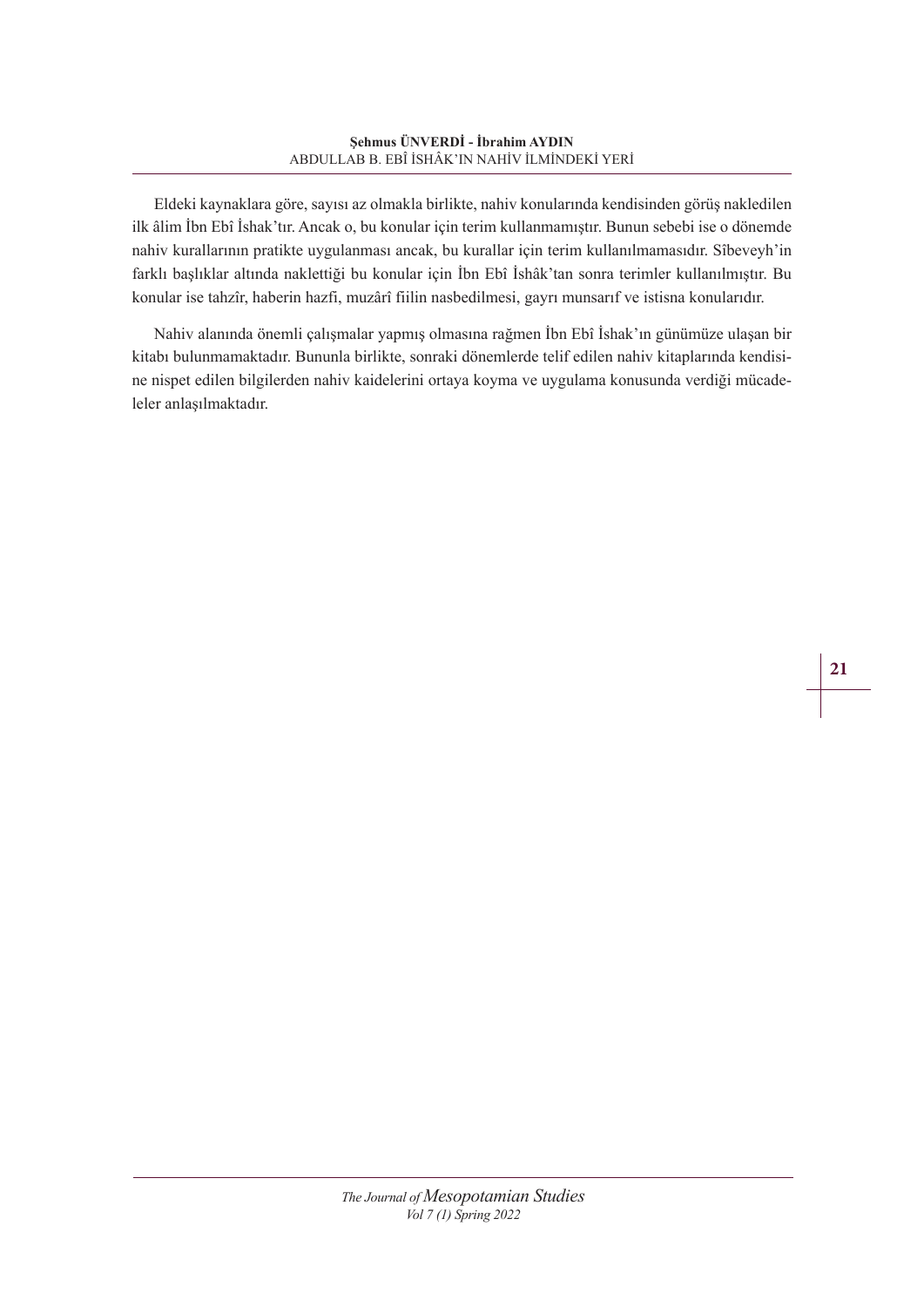Eldeki kaynaklara göre, sayısı az olmakla birlikte, nahiv konularında kendisinden görüş nakledilen ilk âlim İbn Ebî İshak'tır. Ancak o, bu konular için terim kullanmamıştır. Bunun sebebi ise o dönemde nahiv kurallarının pratikte uygulanması ancak, bu kurallar için terim kullanılmamasıdır. Sîbeveyh'in farklı başlıklar altında naklettiği bu konular için İbn Ebî İshâk'tan sonra terimler kullanılmıştır. Bu konular ise tahzîr, haberin hazfi, muzârî fiilin nasbedilmesi, gayrı munsarıf ve istisna konularıdır.

Nahiv alanında önemli çalışmalar yapmış olmasına rağmen İbn Ebî İshak'ın günümüze ulaşan bir kitabı bulunmamaktadır. Bununla birlikte, sonraki dönemlerde telif edilen nahiv kitaplarında kendisine nispet edilen bilgilerden nahiv kaidelerini ortaya koyma ve uygulama konusunda verdiği mücadeleler anlaşılmaktadır.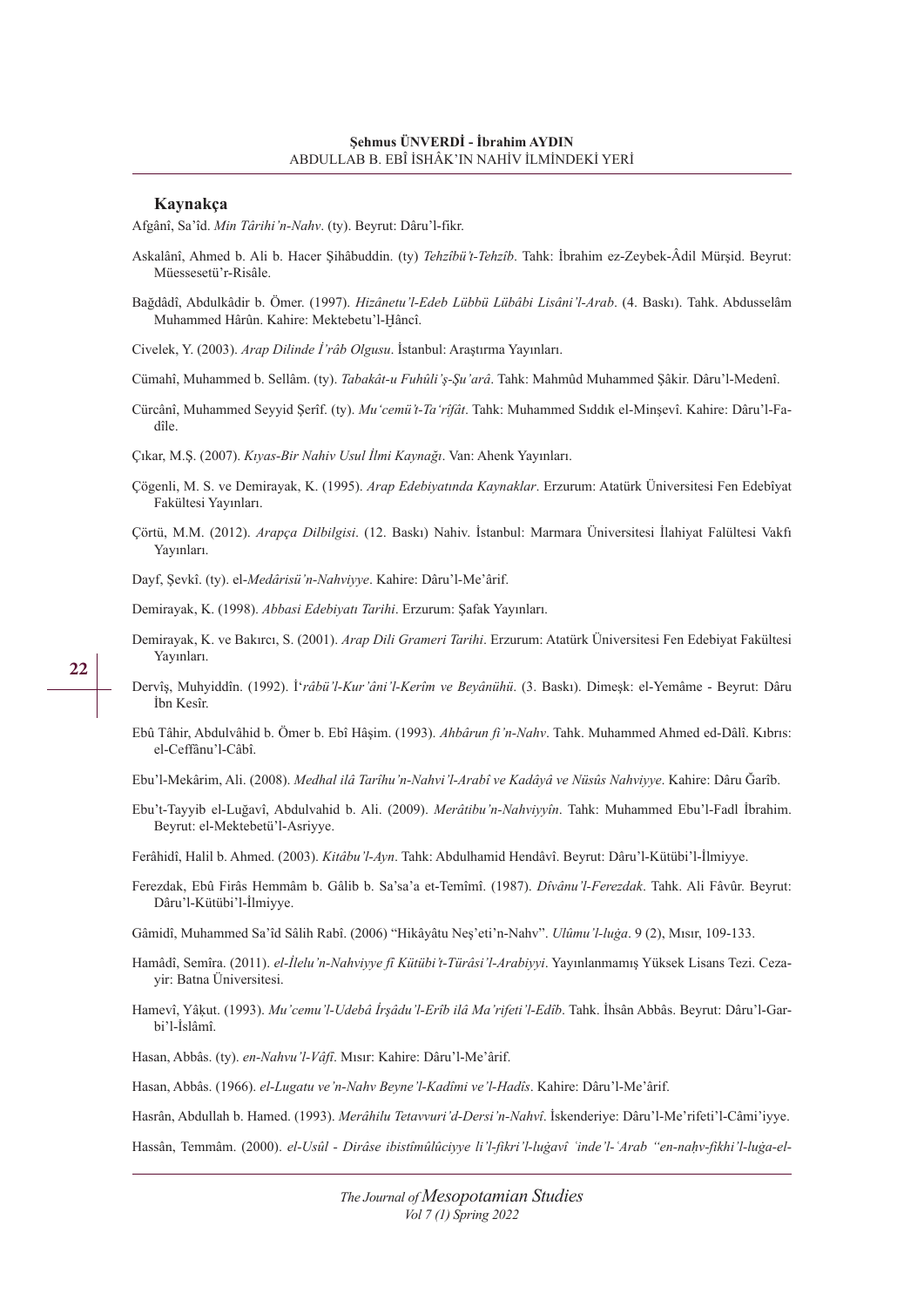#### **Kaynakça**

Afgânî, Sa'îd. *Min Târihi'n-Nahv*. (ty). Beyrut: Dâru'l-fikr.

- Askalânî, Ahmed b. Ali b. Hacer Şihâbuddin. (ty) *Tehzîbü't-Tehzîb*. Tahk: İbrahim ez-Zeybek-Âdil Mürşid. Beyrut: Müessesetü'r-Risâle.
- Bağdâdî, Abdulkâdir b. Ömer. (1997). *Hizânetu'l-Edeb Lübbü Lübâbi Lisâni'l-Arab*. (4. Baskı). Tahk. Abdusselâm Muhammed Hârûn. Kahire: Mektebetu'l-Ḫâncî.

Civelek, Y. (2003). *Arap Dilinde İ'râb Olgusu*. İstanbul: Araştırma Yayınları.

- Cümahî, Muhammed b. Sellâm. (ty). *Tabakât-u Fuhûli'ş-Şu'arâ*. Tahk: Mahmûd Muhammed Şâkir. Dâru'l-Medenî.
- Cürcânî, Muhammed Seyyid Şerîf. (ty). *Mu'cemü't-Ta'rîfât*. Tahk: Muhammed Sıddık el-Minşevî. Kahire: Dâru'l-Fadîle.

Çıkar, M.Ş. (2007). *Kıyas-Bir Nahiv Usul İlmi Kaynağı*. Van: Ahenk Yayınları.

- Çögenli, M. S. ve Demirayak, K. (1995). *Arap Edebiyatında Kaynaklar*. Erzurum: Atatürk Üniversitesi Fen Edebîyat Fakültesi Yayınları.
- Çörtü, M.M. (2012). *Arapça Dilbilgisi*. (12. Baskı) Nahiv. İstanbul: Marmara Üniversitesi İlahiyat Falültesi Vakfı Yayınları.

Dayf, Şevkî. (ty). el-*Medârisü'n-Nahviyye*. Kahire: Dâru'l-Me'ârif.

Demirayak, K. (1998). *Abbasi Edebiyatı Tarihi*. Erzurum: Şafak Yayınları.

- Demirayak, K. ve Bakırcı, S. (2001). *Arap Dili Grameri Tarihi*. Erzurum: Atatürk Üniversitesi Fen Edebiyat Fakültesi Yayınları.
- Dervîş, Muhyiddîn. (1992). İ'*râbü'l-Kur'âni'l-Kerîm ve Beyânühü*. (3. Baskı). Dimeşk: el-Yemâme Beyrut: Dâru İbn Kesîr.
- Ebû Tâhir, Abdulvâhid b. Ömer b. Ebî Hâşim. (1993). *Ahbârun fi'n-Nahv*. Tahk. Muhammed Ahmed ed-Dâlî. Kıbrıs: el-Ceffânu'l-Câbî.
- Ebu'l-Mekârim, Ali. (2008). *Medhal ilâ Tarîhu'n-Nahvi'l-Arabî ve Kadâyâ ve Nüsûs Nahviyye*. Kahire: Dâru Ğarîb.
- Ebu't-Tayyib el-Luğavî, Abdulvahid b. Ali. (2009). *Merâtibu'n-Nahviyyîn*. Tahk: Muhammed Ebu'l-Fadl İbrahim. Beyrut: el-Mektebetü'l-Asriyye.

Ferâhidî, Halil b. Ahmed. (2003). *Kitâbu'l-Ayn*. Tahk: Abdulhamid Hendâvî. Beyrut: Dâru'l-Kütübi'l-İlmiyye.

Ferezdak, Ebû Firâs Hemmâm b. Gâlib b. Sa'sa'a et-Temîmî. (1987). *Dîvânu'l-Ferezdak*. Tahk. Ali Fâvûr. Beyrut: Dâru'l-Kütübi'l-İlmiyye.

Gâmidî, Muhammed Sa'îd Sâlih Rabî. (2006) "Hikâyâtu Neş'eti'n-Nahv". *Ulûmu'l-luġa*. 9 (2), Mısır, 109-133.

- Hamâdî, Semîra. (2011). *el-İlelu'n-Nahviyye fî Kütübi't-Türâsi'l-Arabiyyi*. Yayınlanmamış Yüksek Lisans Tezi. Cezayir: Batna Üniversitesi.
- Hamevî, Yâḳut. (1993). *Mu'cemu'l-Udebâ İrşâdu'l-Erîb ilâ Ma'rifeti'l-Edîb*. Tahk. İhsân Abbâs. Beyrut: Dâru'l-Garbi'l-İslâmî.

Hasan, Abbâs. (ty). *en-Nahvu'l-Vâfî*. Mısır: Kahire: Dâru'l-Me'ârif.

Hasan, Abbâs. (1966). *el-Lugatu ve'n-Nahv Beyne'l-Kadîmi ve'l-Hadîs*. Kahire: Dâru'l-Me'ârif.

Hasrân, Abdullah b. Hamed. (1993). *Merâhilu Tetavvuri'd-Dersi'n-Nahvî*. İskenderiye: Dâru'l-Me'rifeti'l-Câmi'iyye.

Hassân, Temmâm. (2000). *el-Usûl - Dirâse ibistîmûlûciyye li'l-fikri'l-luġavî ʿinde'l-ʿArab "en-naḥv-fikhi'l-luġa-el-*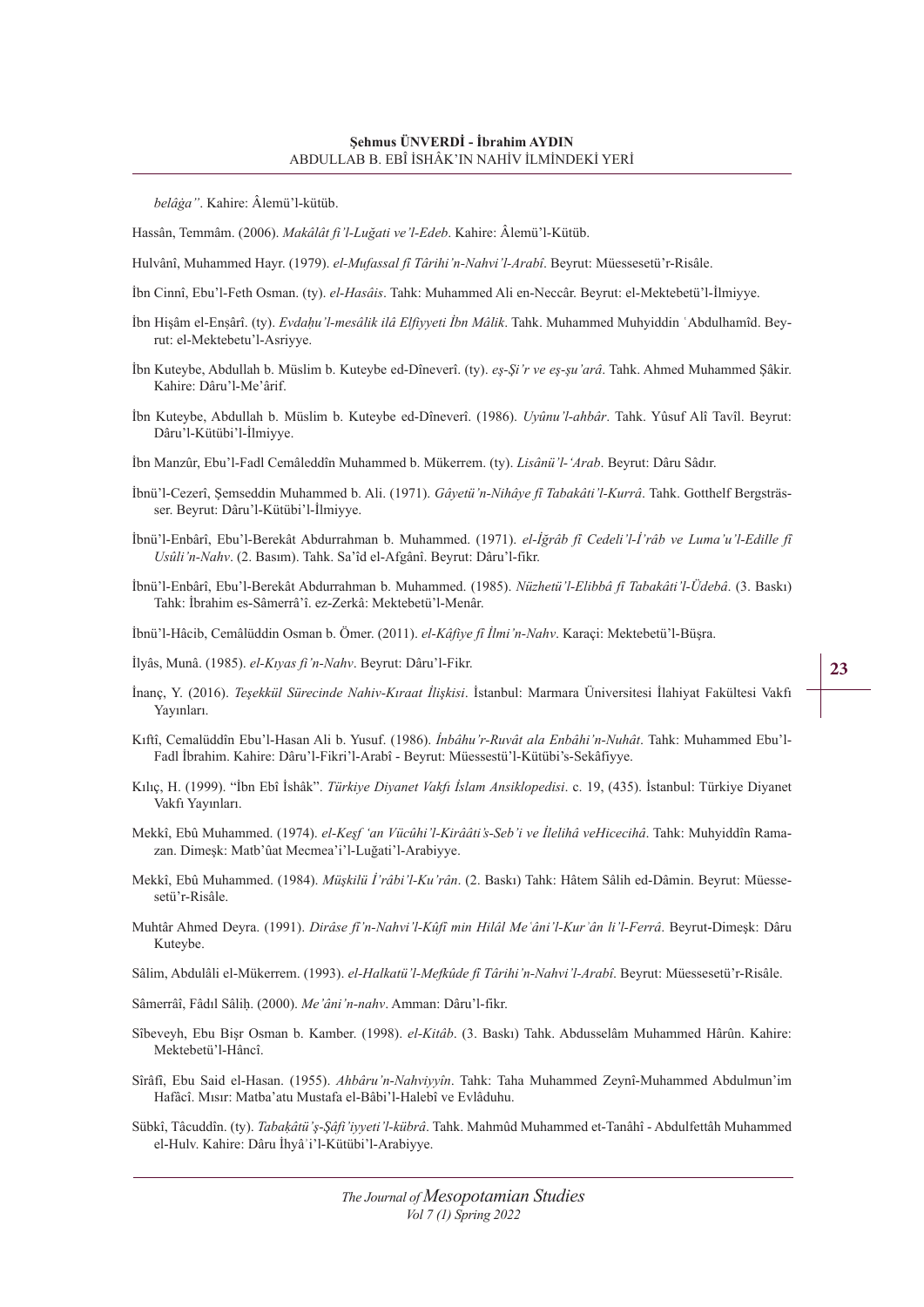*belâġa"*. Kahire: Âlemü'l-kütüb.

Hassân, Temmâm. (2006). *Makâlât fi'l-Luğati ve'l-Edeb*. Kahire: Âlemü'l-Kütüb.

Hulvânî, Muhammed Hayr. (1979). *el-Mufassal fî Târihi'n-Nahvi'l-Arabî*. Beyrut: Müessesetü'r-Risâle.

İbn Cinnî, Ebu'l-Feth Osman. (ty). *el-Hasâis*. Tahk: Muhammed Ali en-Neccâr. Beyrut: el-Mektebetü'l-İlmiyye.

- İbn Hişâm el-Enṣârî. (ty). *Evdaḥu'l-mesâlik ilâ Elfiyyeti İbn Mâlik*. Tahk. Muhammed Muhyiddin ʿAbdulhamîd. Beyrut: el-Mektebetu'l-Asriyye.
- İbn Kuteybe, Abdullah b. Müslim b. Kuteybe ed-Dîneverî. (ty). *eş-Şi'r ve eş-şu'arâ*. Tahk. Ahmed Muhammed Şâkir. Kahire: Dâru'l-Me'ârif.
- İbn Kuteybe, Abdullah b. Müslim b. Kuteybe ed-Dîneverî. (1986). *Uyûnu'l-ahbâr*. Tahk. Yûsuf Alî Tavîl. Beyrut: Dâru'l-Kütübi'l-İlmiyye.

İbn Manzûr, Ebu'l-Fadl Cemâleddîn Muhammed b. Mükerrem. (ty). *Lisânü'l-'Arab*. Beyrut: Dâru Sâdır.

- İbnü'l-Cezerî, Şemseddin Muhammed b. Ali. (1971). *Gâyetü'n-Nihâye fî Tabakâti'l-Kurrâ*. Tahk. Gotthelf Bergsträsser. Beyrut: Dâru'l-Kütübi'l-İlmiyye.
- İbnü'l-Enbârî, Ebu'l-Berekât Abdurrahman b. Muhammed. (1971). *el-İğrâb fî Cedeli'l-İ'râb ve Luma'u'l-Edille fî Usûli'n-Nahv*. (2. Basım). Tahk. Sa'îd el-Afgânî. Beyrut: Dâru'l-fikr.
- İbnü'l-Enbârî, Ebu'l-Berekât Abdurrahman b. Muhammed. (1985). *Nüzhetü'l-Elibbâ fî Tabakâti'l-Üdebâ*. (3. Baskı) Tahk: İbrahim es-Sâmerrâ'î. ez-Zerkâ: Mektebetü'l-Menâr.
- İbnü'l-Hâcib, Cemâlüddin Osman b. Ömer. (2011). *el-Kâfiye fî İlmi'n-Nahv*. Karaçi: Mektebetü'l-Büşra.
- İlyâs, Munâ. (1985). *el-Kıyas fi'n-Nahv*. Beyrut: Dâru'l-Fikr.
- İnanç, Y. (2016). *Teşekkül Sürecinde Nahiv-Kıraat İlişkisi*. İstanbul: Marmara Üniversitesi İlahiyat Fakültesi Vakfı Yayınları.
- Kıftî, Cemalüddîn Ebu'l-Hasan Ali b. Yusuf. (1986). *İnbâhu'r-Ruvât ala Enbâhi'n-Nuhât*. Tahk: Muhammed Ebu'l-Fadl İbrahim. Kahire: Dâru'l-Fikri'l-Arabî - Beyrut: Müessestü'l-Kütübi's-Sekâfiyye.
- Kılıç, H. (1999). "İbn Ebî İshâk". *Türkiye Diyanet Vakfı İslam Ansiklopedisi*. c. 19, (435). İstanbul: Türkiye Diyanet Vakfı Yayınları.
- Mekkî, Ebû Muhammed. (1974). *el-Keşf 'an Vücûhi'l-Kirââti's-Seb'i ve İlelihâ veHicecihâ*. Tahk: Muhyiddîn Ramazan. Dimeşk: Matb'ûat Mecmea'i'l-Luğati'l-Arabiyye.
- Mekkî, Ebû Muhammed. (1984). *Müşkilü İ'râbi'l-Ku'rân*. (2. Baskı) Tahk: Hâtem Sâlih ed-Dâmin. Beyrut: Müessesetü'r-Risâle.
- Muhtâr Ahmed Deyra. (1991). *Dirâse fî'n-Nahvi'l-Kûfî min Hilâl Meʿâni'l-Kurʾân li'l-Ferrâ*. Beyrut-Dimeşk: Dâru Kuteybe.

Sâlim, Abdulâli el-Mükerrem. (1993). *el-Halkatü'l-Mefkûde fî Târihi'n-Nahvi'l-Arabî*. Beyrut: Müessesetü'r-Risâle.

Sâmerrâî, Fâdıl Sâliḥ. (2000). *Me'âni'n-nahv*. Amman: Dâru'l-fikr.

- Sîbeveyh, Ebu Bişr Osman b. Kamber. (1998). *el-Kitâb*. (3. Baskı) Tahk. Abdusselâm Muhammed Hârûn. Kahire: Mektebetü'l-Hâncî.
- Sîrâfî, Ebu Said el-Hasan. (1955). *Ahbâru'n-Nahviyyîn*. Tahk: Taha Muhammed Zeynî-Muhammed Abdulmun'im Hafâcî. Mısır: Matba'atu Mustafa el-Bâbi'l-Halebî ve Evlâduhu.
- Sübkî, Tâcuddîn. (ty). *Tabaḳâtü'ş-Şâfi'iyyeti'l-kübrâ*. Tahk. Mahmûd Muhammed et-Tanâhî Abdulfettâh Muhammed el-Hulv. Kahire: Dâru İhyâʾi'l-Kütübi'l-Arabiyye.